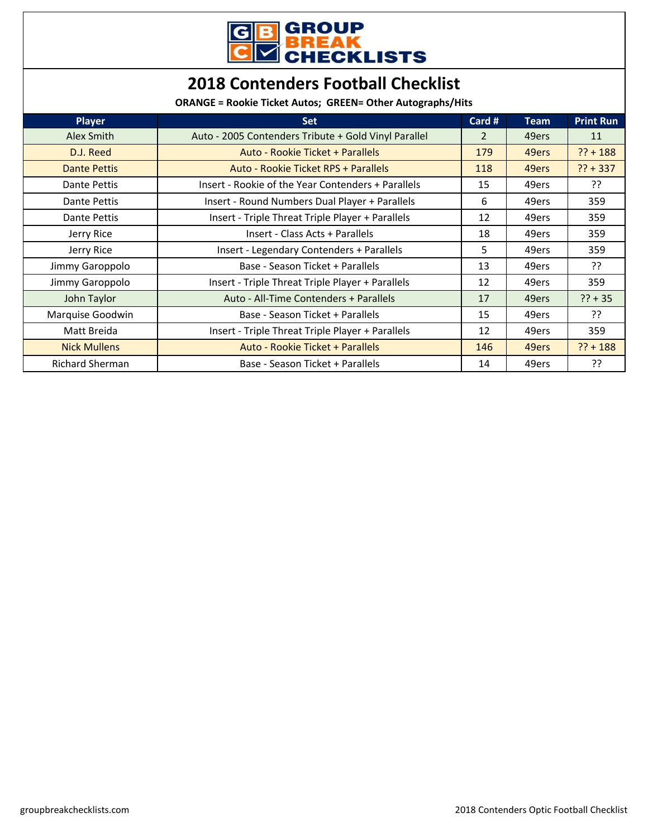

## **2018 Contenders Football Checklist**

**ORANGE = Rookie Ticket Autos; GREEN= Other Autographs/Hits**

| <b>Player</b>          | <b>Set</b>                                           | Card #         | <b>Team</b> | <b>Print Run</b> |
|------------------------|------------------------------------------------------|----------------|-------------|------------------|
| Alex Smith             | Auto - 2005 Contenders Tribute + Gold Vinyl Parallel | $\overline{2}$ | 49ers       | 11               |
| D.J. Reed              | Auto - Rookie Ticket + Parallels                     | 179            | 49ers       | $?? + 188$       |
| <b>Dante Pettis</b>    | Auto - Rookie Ticket RPS + Parallels                 | 118            | 49ers       | $?? + 337$       |
| Dante Pettis           | Insert - Rookie of the Year Contenders + Parallels   | 15             | 49ers       | יִ?              |
| Dante Pettis           | Insert - Round Numbers Dual Player + Parallels       | 6              | 49ers       | 359              |
| Dante Pettis           | Insert - Triple Threat Triple Player + Parallels     | 12             | 49ers       | 359              |
| Jerry Rice             | Insert - Class Acts + Parallels                      | 18             | 49ers       | 359              |
| Jerry Rice             | Insert - Legendary Contenders + Parallels            | 5.             | 49ers       | 359              |
| Jimmy Garoppolo        | Base - Season Ticket + Parallels                     | 13             | 49ers       | ??               |
| Jimmy Garoppolo        | Insert - Triple Threat Triple Player + Parallels     | 12             | 49ers       | 359              |
| John Taylor            | Auto - All-Time Contenders + Parallels               | 17             | 49ers       | $?? + 35$        |
| Marquise Goodwin       | Base - Season Ticket + Parallels                     | 15             | 49ers       | ??               |
| Matt Breida            | Insert - Triple Threat Triple Player + Parallels     | 12             | 49ers       | 359              |
| <b>Nick Mullens</b>    | Auto - Rookie Ticket + Parallels                     | 146            | 49ers       | $?? + 188$       |
| <b>Richard Sherman</b> | Base - Season Ticket + Parallels                     | 14             | 49ers       | ??               |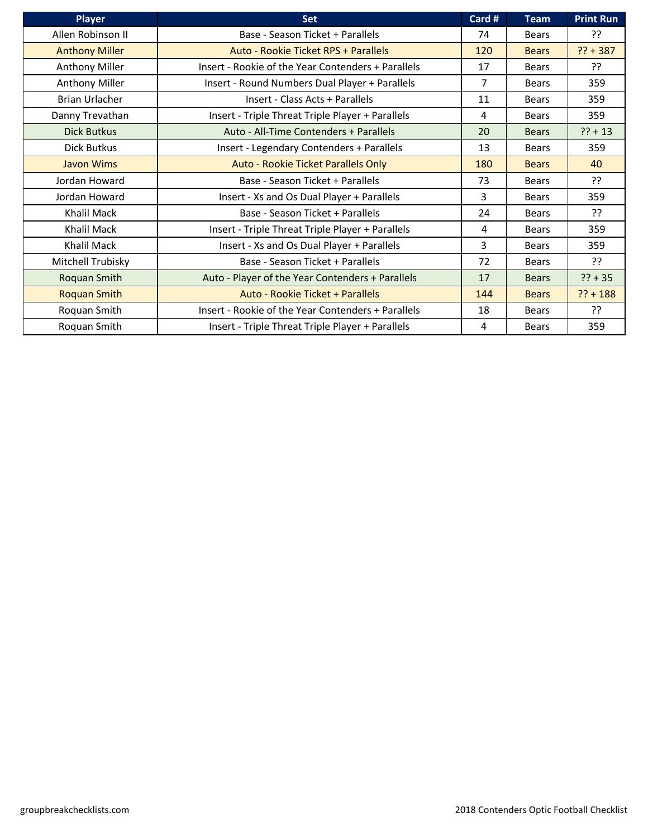| <b>Player</b>         | <b>Set</b>                                         | Card #         | <b>Team</b>  | <b>Print Run</b> |
|-----------------------|----------------------------------------------------|----------------|--------------|------------------|
| Allen Robinson II     | Base - Season Ticket + Parallels                   | 74             | <b>Bears</b> | ??               |
| <b>Anthony Miller</b> | Auto - Rookie Ticket RPS + Parallels               | 120            | <b>Bears</b> | $?? + 387$       |
| <b>Anthony Miller</b> | Insert - Rookie of the Year Contenders + Parallels | 17             | <b>Bears</b> | ??               |
| <b>Anthony Miller</b> | Insert - Round Numbers Dual Player + Parallels     | $\overline{7}$ | Bears        | 359              |
| <b>Brian Urlacher</b> | Insert - Class Acts + Parallels                    | 11             | Bears        | 359              |
| Danny Trevathan       | Insert - Triple Threat Triple Player + Parallels   | 4              | <b>Bears</b> | 359              |
| <b>Dick Butkus</b>    | Auto - All-Time Contenders + Parallels             | 20             | <b>Bears</b> | $?? + 13$        |
| Dick Butkus           | Insert - Legendary Contenders + Parallels          | 13             | <b>Bears</b> | 359              |
| Javon Wims            | Auto - Rookie Ticket Parallels Only                | 180            | <b>Bears</b> | 40               |
| Jordan Howard         | Base - Season Ticket + Parallels                   | 73             | <b>Bears</b> | ??               |
| Jordan Howard         | Insert - Xs and Os Dual Player + Parallels         | 3              | Bears        | 359              |
| Khalil Mack           | Base - Season Ticket + Parallels                   | 24             | Bears        | ??               |
| Khalil Mack           | Insert - Triple Threat Triple Player + Parallels   | 4              | <b>Bears</b> | 359              |
| Khalil Mack           | Insert - Xs and Os Dual Player + Parallels         | 3              | <b>Bears</b> | 359              |
| Mitchell Trubisky     | Base - Season Ticket + Parallels                   | 72             | <b>Bears</b> | ??               |
| Roquan Smith          | Auto - Player of the Year Contenders + Parallels   | 17             | <b>Bears</b> | $?? + 35$        |
| <b>Roquan Smith</b>   | Auto - Rookie Ticket + Parallels                   | 144            | <b>Bears</b> | $?? + 188$       |
| Roquan Smith          | Insert - Rookie of the Year Contenders + Parallels | 18             | <b>Bears</b> | יִ               |
| Roquan Smith          | Insert - Triple Threat Triple Player + Parallels   | 4              | <b>Bears</b> | 359              |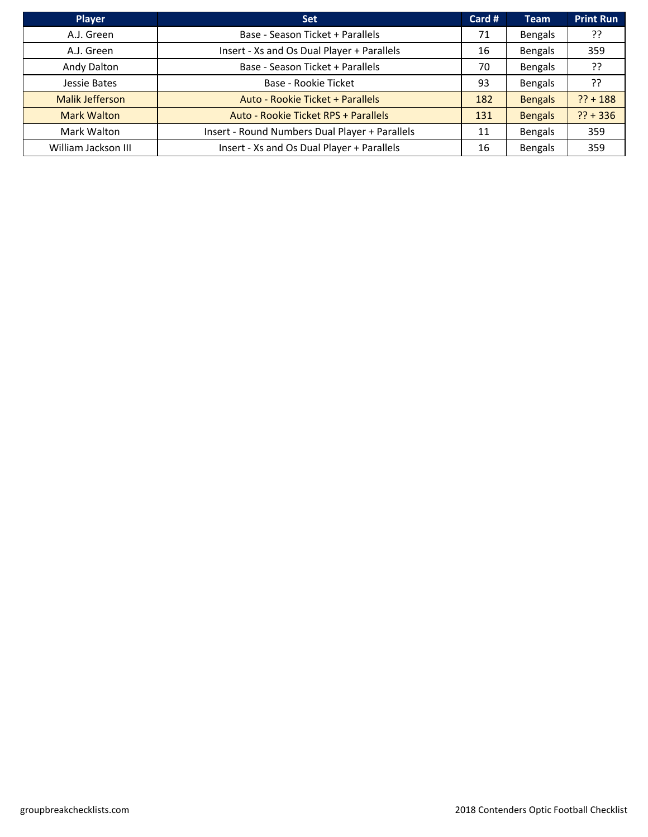| Player                 | <b>Set</b>                                     | Card # | <b>Team</b>    | <b>Print Run</b> |
|------------------------|------------------------------------------------|--------|----------------|------------------|
| A.J. Green             | Base - Season Ticket + Parallels               | 71     | <b>Bengals</b> | ??               |
| A.J. Green             | Insert - Xs and Os Dual Player + Parallels     | 16     | Bengals        | 359              |
| Andy Dalton            | Base - Season Ticket + Parallels               | 70     | Bengals        | ??               |
| Jessie Bates           | Base - Rookie Ticket                           | 93     | Bengals        | ??               |
| <b>Malik Jefferson</b> | Auto - Rookie Ticket + Parallels               | 182    | <b>Bengals</b> | $?? + 188$       |
| <b>Mark Walton</b>     | Auto - Rookie Ticket RPS + Parallels           | 131    | <b>Bengals</b> | $?? + 336$       |
| Mark Walton            | Insert - Round Numbers Dual Player + Parallels | 11     | Bengals        | 359              |
| William Jackson III    | Insert - Xs and Os Dual Player + Parallels     | 16     | <b>Bengals</b> | 359              |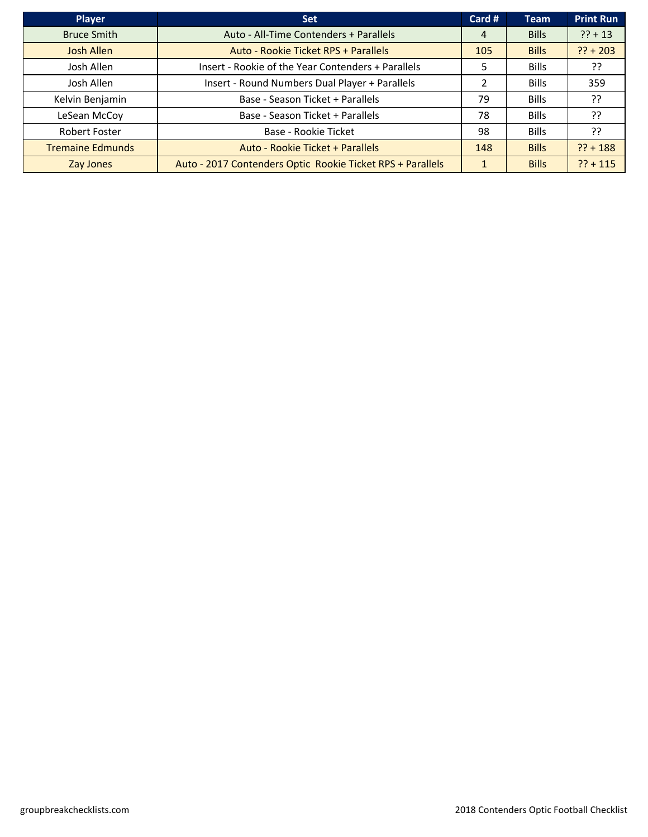| <b>Player</b>           | <b>Set</b>                                                 | Card # | <b>Team</b>  | <b>Print Run</b> |
|-------------------------|------------------------------------------------------------|--------|--------------|------------------|
| <b>Bruce Smith</b>      | Auto - All-Time Contenders + Parallels                     | 4      | <b>Bills</b> | $?? + 13$        |
| <b>Josh Allen</b>       | Auto - Rookie Ticket RPS + Parallels                       | 105    | <b>Bills</b> | $?? + 203$       |
| Josh Allen              | Insert - Rookie of the Year Contenders + Parallels         | 5      | <b>Bills</b> | ??               |
| Josh Allen              | Insert - Round Numbers Dual Player + Parallels             | 2      | <b>Bills</b> | 359              |
| Kelvin Benjamin         | Base - Season Ticket + Parallels                           | 79     | <b>Bills</b> | ??               |
| LeSean McCoy            | Base - Season Ticket + Parallels                           | 78     | <b>Bills</b> | ??               |
| Robert Foster           | Base - Rookie Ticket                                       | 98     | <b>Bills</b> | ??               |
| <b>Tremaine Edmunds</b> | Auto - Rookie Ticket + Parallels                           | 148    | <b>Bills</b> | $?? + 188$       |
| Zay Jones               | Auto - 2017 Contenders Optic Rookie Ticket RPS + Parallels |        | <b>Bills</b> | $?? + 115$       |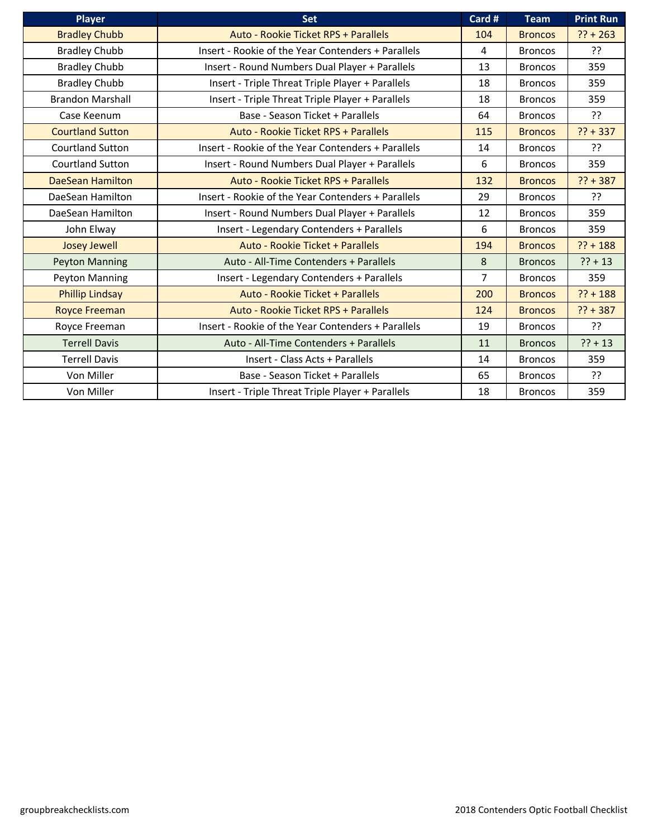| Player                  | <b>Set</b>                                         | Card #         | <b>Team</b>    | <b>Print Run</b> |
|-------------------------|----------------------------------------------------|----------------|----------------|------------------|
| <b>Bradley Chubb</b>    | Auto - Rookie Ticket RPS + Parallels               | 104            | <b>Broncos</b> | $?? + 263$       |
| <b>Bradley Chubb</b>    | Insert - Rookie of the Year Contenders + Parallels | 4              | <b>Broncos</b> | ??               |
| <b>Bradley Chubb</b>    | Insert - Round Numbers Dual Player + Parallels     | 13             | <b>Broncos</b> | 359              |
| <b>Bradley Chubb</b>    | Insert - Triple Threat Triple Player + Parallels   | 18             | <b>Broncos</b> | 359              |
| <b>Brandon Marshall</b> | Insert - Triple Threat Triple Player + Parallels   | 18             | <b>Broncos</b> | 359              |
| Case Keenum             | Base - Season Ticket + Parallels                   | 64             | <b>Broncos</b> | ??               |
| <b>Courtland Sutton</b> | Auto - Rookie Ticket RPS + Parallels               | 115            | <b>Broncos</b> | $?? + 337$       |
| <b>Courtland Sutton</b> | Insert - Rookie of the Year Contenders + Parallels | 14             | <b>Broncos</b> | ??               |
| Courtland Sutton        | Insert - Round Numbers Dual Player + Parallels     | 6              | <b>Broncos</b> | 359              |
| <b>DaeSean Hamilton</b> | Auto - Rookie Ticket RPS + Parallels               | 132            | <b>Broncos</b> | $?? + 387$       |
| DaeSean Hamilton        | Insert - Rookie of the Year Contenders + Parallels | 29             | <b>Broncos</b> | ??               |
| DaeSean Hamilton        | Insert - Round Numbers Dual Player + Parallels     | 12             | <b>Broncos</b> | 359              |
| John Elway              | Insert - Legendary Contenders + Parallels          | 6              | <b>Broncos</b> | 359              |
| <b>Josey Jewell</b>     | Auto - Rookie Ticket + Parallels                   | 194            | <b>Broncos</b> | $?? + 188$       |
| <b>Peyton Manning</b>   | Auto - All-Time Contenders + Parallels             | 8              | <b>Broncos</b> | $?? + 13$        |
| Peyton Manning          | Insert - Legendary Contenders + Parallels          | $\overline{7}$ | <b>Broncos</b> | 359              |
| <b>Phillip Lindsay</b>  | Auto - Rookie Ticket + Parallels                   | 200            | <b>Broncos</b> | $?? + 188$       |
| <b>Royce Freeman</b>    | Auto - Rookie Ticket RPS + Parallels               | 124            | <b>Broncos</b> | $?? + 387$       |
| Royce Freeman           | Insert - Rookie of the Year Contenders + Parallels | 19             | <b>Broncos</b> | ??               |
| <b>Terrell Davis</b>    | Auto - All-Time Contenders + Parallels             | 11             | <b>Broncos</b> | $?? + 13$        |
| <b>Terrell Davis</b>    | Insert - Class Acts + Parallels                    | 14             | <b>Broncos</b> | 359              |
| Von Miller              | Base - Season Ticket + Parallels                   | 65             | <b>Broncos</b> | ??               |
| Von Miller              | Insert - Triple Threat Triple Player + Parallels   | 18             | <b>Broncos</b> | 359              |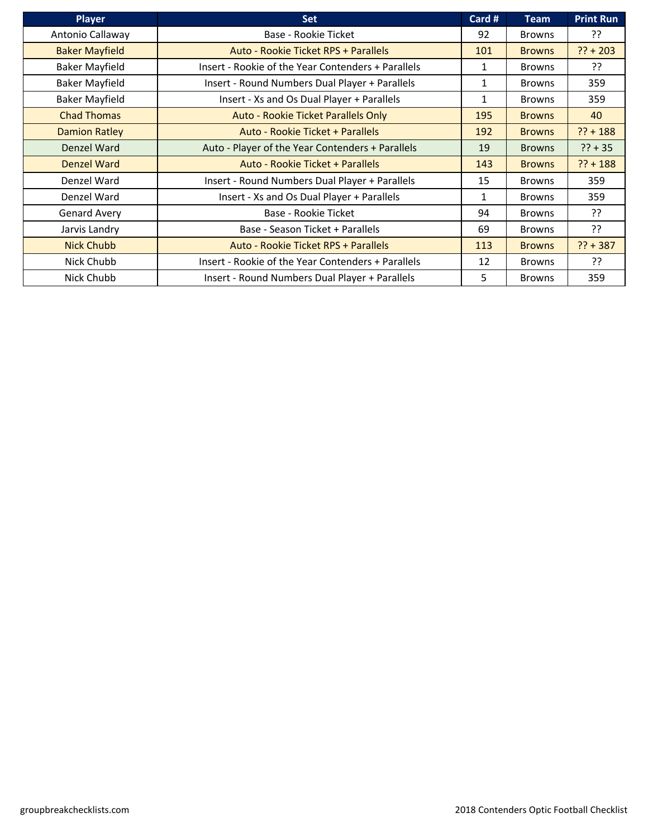| <b>Player</b>         | <b>Set</b>                                         | Card # | <b>Team</b>   | <b>Print Run</b> |
|-----------------------|----------------------------------------------------|--------|---------------|------------------|
| Antonio Callaway      | Base - Rookie Ticket                               | 92     | <b>Browns</b> | ??               |
| <b>Baker Mayfield</b> | Auto - Rookie Ticket RPS + Parallels               | 101    | <b>Browns</b> | $?? + 203$       |
| <b>Baker Mayfield</b> | Insert - Rookie of the Year Contenders + Parallels | 1      | <b>Browns</b> | ַיְ?             |
| <b>Baker Mayfield</b> | Insert - Round Numbers Dual Player + Parallels     | 1      | <b>Browns</b> | 359              |
| <b>Baker Mayfield</b> | Insert - Xs and Os Dual Player + Parallels         | 1      | <b>Browns</b> | 359              |
| <b>Chad Thomas</b>    | Auto - Rookie Ticket Parallels Only                | 195    | <b>Browns</b> | 40               |
| <b>Damion Ratley</b>  | Auto - Rookie Ticket + Parallels                   | 192    | <b>Browns</b> | $?? + 188$       |
| Denzel Ward           | Auto - Player of the Year Contenders + Parallels   | 19     | <b>Browns</b> | $?? + 35$        |
| <b>Denzel Ward</b>    | Auto - Rookie Ticket + Parallels                   | 143    | <b>Browns</b> | $?? + 188$       |
| Denzel Ward           | Insert - Round Numbers Dual Player + Parallels     | 15     | <b>Browns</b> | 359              |
| Denzel Ward           | Insert - Xs and Os Dual Player + Parallels         | 1      | <b>Browns</b> | 359              |
| Genard Avery          | Base - Rookie Ticket                               | 94     | <b>Browns</b> | ??               |
| Jarvis Landry         | Base - Season Ticket + Parallels                   | 69     | <b>Browns</b> | ??               |
| <b>Nick Chubb</b>     | Auto - Rookie Ticket RPS + Parallels               | 113    | <b>Browns</b> | $?? + 387$       |
| Nick Chubb            | Insert - Rookie of the Year Contenders + Parallels | 12     | <b>Browns</b> | ??               |
| Nick Chubb            | Insert - Round Numbers Dual Player + Parallels     | 5.     | <b>Browns</b> | 359              |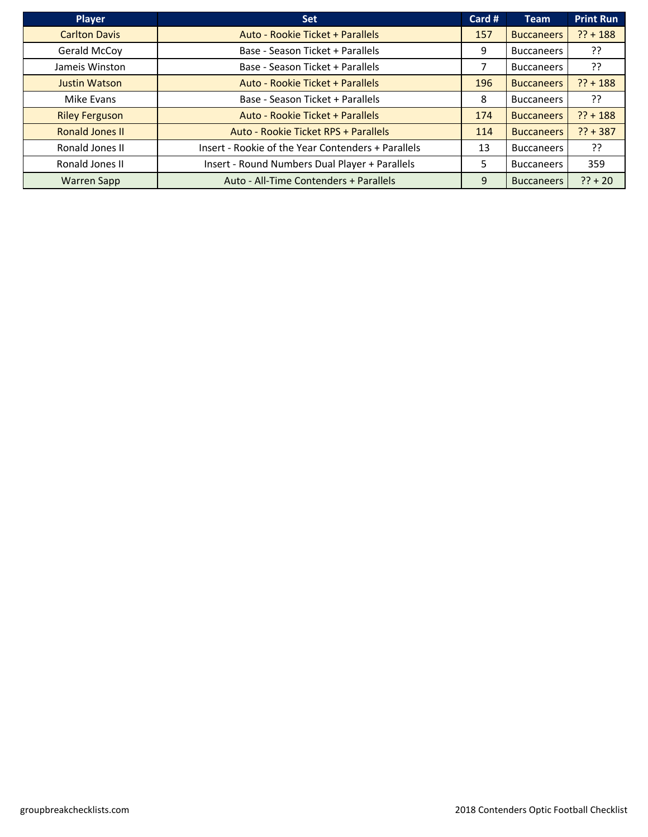| <b>Player</b>          | <b>Set</b>                                         | Card # | <b>Team</b>       | <b>Print Run</b> |
|------------------------|----------------------------------------------------|--------|-------------------|------------------|
| <b>Carlton Davis</b>   | Auto - Rookie Ticket + Parallels                   | 157    | <b>Buccaneers</b> | $?? + 188$       |
| Gerald McCoy           | Base - Season Ticket + Parallels                   | 9      | <b>Buccaneers</b> | ??               |
| Jameis Winston         | Base - Season Ticket + Parallels                   |        | <b>Buccaneers</b> | ??               |
| <b>Justin Watson</b>   | Auto - Rookie Ticket + Parallels                   | 196    | <b>Buccaneers</b> | $?? + 188$       |
| Mike Evans             | Base - Season Ticket + Parallels                   | 8      | <b>Buccaneers</b> | יִ               |
| <b>Riley Ferguson</b>  | Auto - Rookie Ticket + Parallels                   | 174    | <b>Buccaneers</b> | $?? + 188$       |
| <b>Ronald Jones II</b> | Auto - Rookie Ticket RPS + Parallels               | 114    | <b>Buccaneers</b> | $?? + 387$       |
| Ronald Jones II        | Insert - Rookie of the Year Contenders + Parallels | 13     | <b>Buccaneers</b> | ??               |
| Ronald Jones II        | Insert - Round Numbers Dual Player + Parallels     | 5.     | <b>Buccaneers</b> | 359              |
| <b>Warren Sapp</b>     | Auto - All-Time Contenders + Parallels             | 9      | <b>Buccaneers</b> | $?? + 20$        |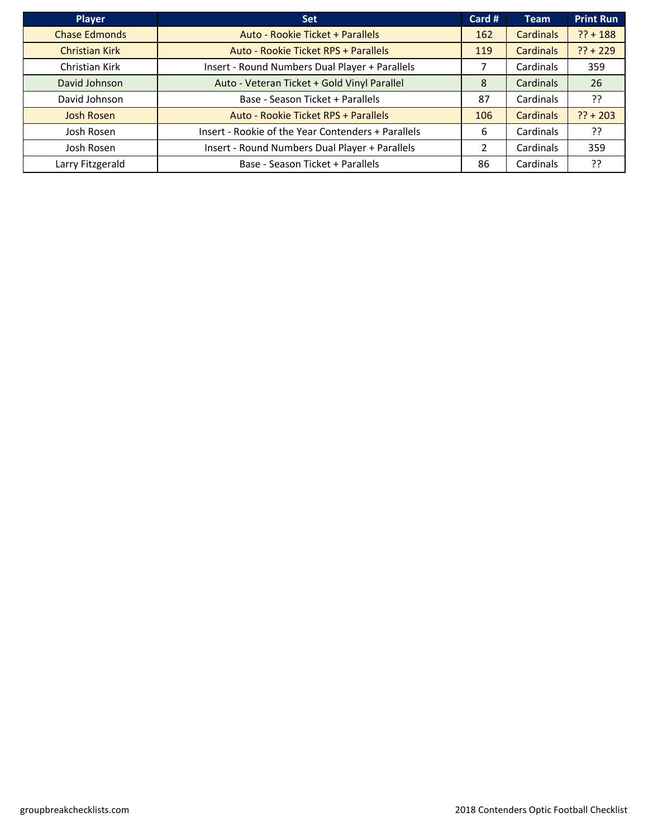| <b>Player</b>         | <b>Set</b>                                         | Card # | <b>Team</b>      | <b>Print Run</b> |
|-----------------------|----------------------------------------------------|--------|------------------|------------------|
| <b>Chase Edmonds</b>  | Auto - Rookie Ticket + Parallels                   | 162    | <b>Cardinals</b> | $?? + 188$       |
| <b>Christian Kirk</b> | Auto - Rookie Ticket RPS + Parallels               | 119    | <b>Cardinals</b> | $?? + 229$       |
| Christian Kirk        | Insert - Round Numbers Dual Player + Parallels     |        | Cardinals        | 359              |
| David Johnson         | Auto - Veteran Ticket + Gold Vinyl Parallel        | 8      | Cardinals        | 26               |
| David Johnson         | Base - Season Ticket + Parallels                   | 87     | Cardinals        | ??               |
| <b>Josh Rosen</b>     | Auto - Rookie Ticket RPS + Parallels               | 106    | <b>Cardinals</b> | $?? + 203$       |
| Josh Rosen            | Insert - Rookie of the Year Contenders + Parallels | 6      | Cardinals        | יִ?              |
| Josh Rosen            | Insert - Round Numbers Dual Player + Parallels     | 2      | Cardinals        | 359              |
| Larry Fitzgerald      | Base - Season Ticket + Parallels                   | 86     | Cardinals        | ??               |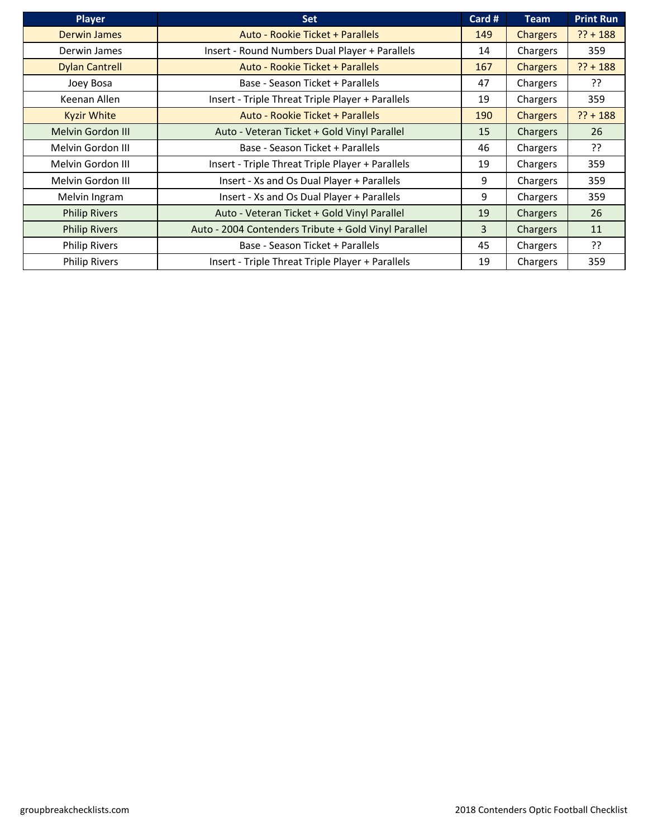| <b>Player</b>            | Set                                                  | Card # | <b>Team</b>     | <b>Print Run</b> |
|--------------------------|------------------------------------------------------|--------|-----------------|------------------|
| <b>Derwin James</b>      | Auto - Rookie Ticket + Parallels                     | 149    | <b>Chargers</b> | $?? + 188$       |
| Derwin James             | Insert - Round Numbers Dual Player + Parallels       | 14     | Chargers        | 359              |
| <b>Dylan Cantrell</b>    | Auto - Rookie Ticket + Parallels                     | 167    | <b>Chargers</b> | $?? + 188$       |
| Joey Bosa                | Base - Season Ticket + Parallels                     | 47     | Chargers        | יִ               |
| Keenan Allen             | Insert - Triple Threat Triple Player + Parallels     | 19     | Chargers        | 359              |
| <b>Kyzir White</b>       | Auto - Rookie Ticket + Parallels                     | 190    | <b>Chargers</b> | $?? + 188$       |
| <b>Melvin Gordon III</b> | Auto - Veteran Ticket + Gold Vinyl Parallel          | 15     | <b>Chargers</b> | 26               |
| Melvin Gordon III        | Base - Season Ticket + Parallels                     | 46     | Chargers        | יִ               |
| Melvin Gordon III        | Insert - Triple Threat Triple Player + Parallels     | 19     | Chargers        | 359              |
| Melvin Gordon III        | Insert - Xs and Os Dual Player + Parallels           | 9      | Chargers        | 359              |
| Melvin Ingram            | Insert - Xs and Os Dual Player + Parallels           | 9      | Chargers        | 359              |
| <b>Philip Rivers</b>     | Auto - Veteran Ticket + Gold Vinyl Parallel          | 19     | Chargers        | 26               |
| <b>Philip Rivers</b>     | Auto - 2004 Contenders Tribute + Gold Vinyl Parallel | 3      | Chargers        | 11               |
| <b>Philip Rivers</b>     | Base - Season Ticket + Parallels                     | 45     | Chargers        | ??               |
| <b>Philip Rivers</b>     | Insert - Triple Threat Triple Player + Parallels     | 19     | Chargers        | 359              |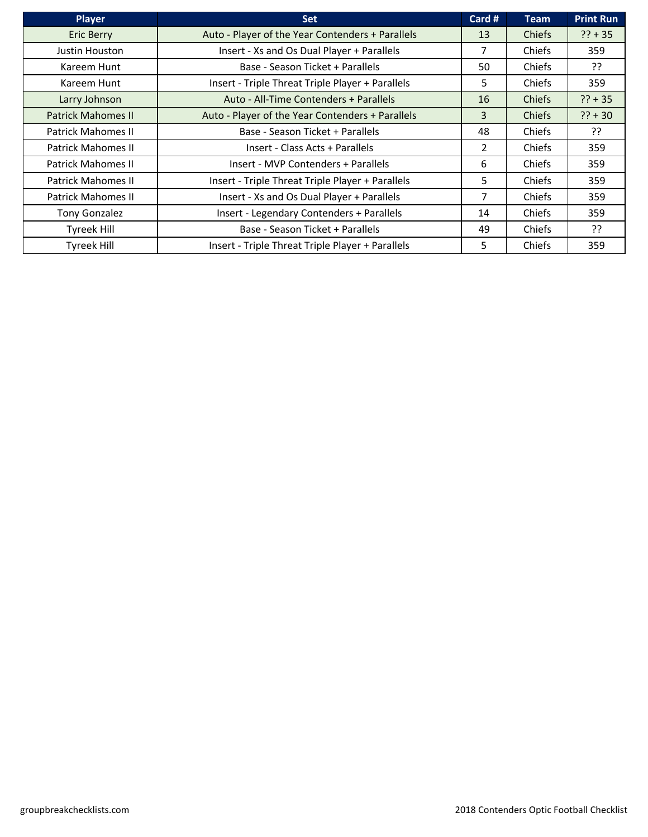| Player                    | <b>Set</b>                                       | Card #         | <b>Team</b>   | <b>Print Run</b> |
|---------------------------|--------------------------------------------------|----------------|---------------|------------------|
| <b>Eric Berry</b>         | Auto - Player of the Year Contenders + Parallels | 13             | <b>Chiefs</b> | $?? + 35$        |
| Justin Houston            | Insert - Xs and Os Dual Player + Parallels       | 7              | Chiefs        | 359              |
| Kareem Hunt               | Base - Season Ticket + Parallels                 | 50             | Chiefs        | ַיְ?             |
| Kareem Hunt               | Insert - Triple Threat Triple Player + Parallels | 5.             | Chiefs        | 359              |
| Larry Johnson             | Auto - All-Time Contenders + Parallels           | 16             | Chiefs        | $?? + 35$        |
| <b>Patrick Mahomes II</b> | Auto - Player of the Year Contenders + Parallels | 3              | Chiefs        | $?? + 30$        |
| <b>Patrick Mahomes II</b> | Base - Season Ticket + Parallels                 | 48             | Chiefs        | ַיְ?             |
| <b>Patrick Mahomes II</b> | Insert - Class Acts + Parallels                  | $\overline{2}$ | Chiefs        | 359              |
| <b>Patrick Mahomes II</b> | Insert - MVP Contenders + Parallels              | 6              | Chiefs        | 359              |
| <b>Patrick Mahomes II</b> | Insert - Triple Threat Triple Player + Parallels | 5.             | Chiefs        | 359              |
| <b>Patrick Mahomes II</b> | Insert - Xs and Os Dual Player + Parallels       | 7              | Chiefs        | 359              |
| Tony Gonzalez             | Insert - Legendary Contenders + Parallels        | 14             | Chiefs        | 359              |
| Tyreek Hill               | Base - Season Ticket + Parallels                 | 49             | Chiefs        | ??               |
| <b>Tyreek Hill</b>        | Insert - Triple Threat Triple Player + Parallels | 5.             | Chiefs        | 359              |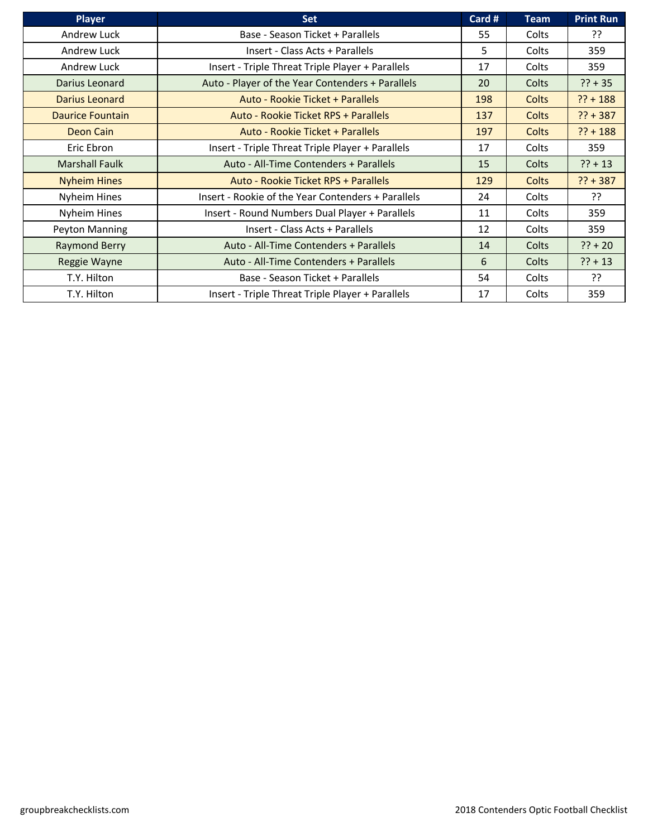| <b>Player</b>           | <b>Set</b>                                         | Card # | <b>Team</b>  | <b>Print Run</b> |
|-------------------------|----------------------------------------------------|--------|--------------|------------------|
| Andrew Luck             | Base - Season Ticket + Parallels                   | 55     | Colts        | ַרְכְ            |
| Andrew Luck             | Insert - Class Acts + Parallels                    | 5.     | Colts        | 359              |
| Andrew Luck             | Insert - Triple Threat Triple Player + Parallels   | 17     | Colts        | 359              |
| Darius Leonard          | Auto - Player of the Year Contenders + Parallels   | 20     | Colts        | $?? + 35$        |
| Darius Leonard          | Auto - Rookie Ticket + Parallels                   | 198    | <b>Colts</b> | $?? + 188$       |
| <b>Daurice Fountain</b> | Auto - Rookie Ticket RPS + Parallels               | 137    | <b>Colts</b> | $?? + 387$       |
| Deon Cain               | Auto - Rookie Ticket + Parallels                   | 197    | Colts        | $?? + 188$       |
| Eric Ebron              | Insert - Triple Threat Triple Player + Parallels   | 17     | Colts        | 359              |
| <b>Marshall Faulk</b>   | Auto - All-Time Contenders + Parallels             | 15     | Colts        | $?? + 13$        |
| <b>Nyheim Hines</b>     | Auto - Rookie Ticket RPS + Parallels               | 129    | Colts        | $?? + 387$       |
| Nyheim Hines            | Insert - Rookie of the Year Contenders + Parallels | 24     | Colts        | ??               |
| Nyheim Hines            | Insert - Round Numbers Dual Player + Parallels     | 11     | Colts        | 359              |
| Peyton Manning          | Insert - Class Acts + Parallels                    | 12     | Colts        | 359              |
| <b>Raymond Berry</b>    | Auto - All-Time Contenders + Parallels             | 14     | Colts        | $?? + 20$        |
| Reggie Wayne            | Auto - All-Time Contenders + Parallels             | 6      | Colts        | $?? + 13$        |
| T.Y. Hilton             | Base - Season Ticket + Parallels                   | 54     | Colts        | ַרְכִ            |
| T.Y. Hilton             | Insert - Triple Threat Triple Player + Parallels   | 17     | Colts        | 359              |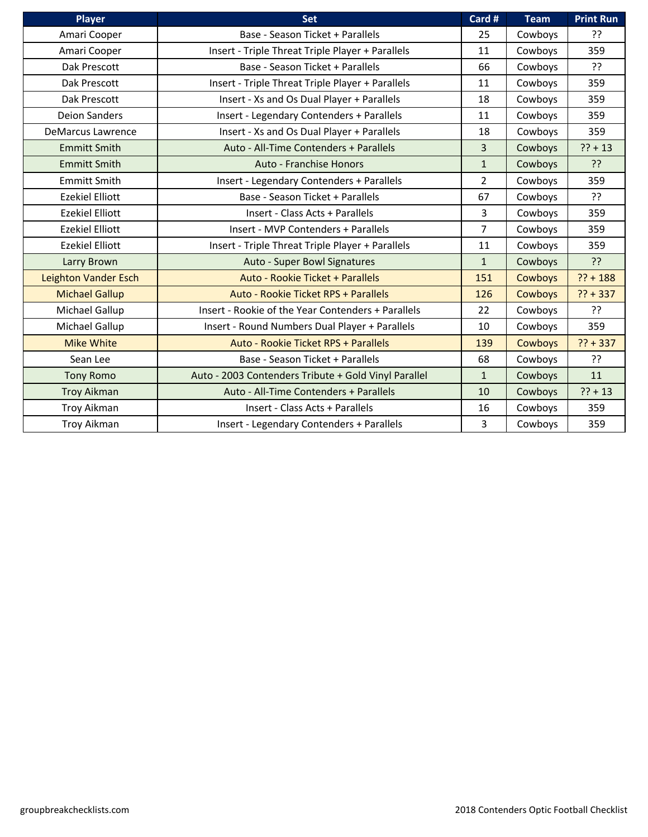| Player                      | <b>Set</b>                                           | Card #         | <b>Team</b>    | <b>Print Run</b> |
|-----------------------------|------------------------------------------------------|----------------|----------------|------------------|
| Amari Cooper                | Base - Season Ticket + Parallels                     | 25             | Cowboys        | ??               |
| Amari Cooper                | Insert - Triple Threat Triple Player + Parallels     | 11             | Cowboys        | 359              |
| Dak Prescott                | Base - Season Ticket + Parallels                     | 66             | Cowboys        | ??               |
| Dak Prescott                | Insert - Triple Threat Triple Player + Parallels     | 11             | Cowboys        | 359              |
| Dak Prescott                | Insert - Xs and Os Dual Player + Parallels           | 18             | Cowboys        | 359              |
| <b>Deion Sanders</b>        | Insert - Legendary Contenders + Parallels            | 11             | Cowboys        | 359              |
| <b>DeMarcus Lawrence</b>    | Insert - Xs and Os Dual Player + Parallels           | 18             | Cowboys        | 359              |
| <b>Emmitt Smith</b>         | Auto - All-Time Contenders + Parallels               | 3              | Cowboys        | $?? + 13$        |
| <b>Emmitt Smith</b>         | Auto - Franchise Honors                              | $\mathbf{1}$   | Cowboys        | ??               |
| <b>Emmitt Smith</b>         | Insert - Legendary Contenders + Parallels            | $\overline{2}$ | Cowboys        | 359              |
| <b>Ezekiel Elliott</b>      | Base - Season Ticket + Parallels                     | 67             | Cowboys        | ??               |
| <b>Ezekiel Elliott</b>      | Insert - Class Acts + Parallels                      | 3              | Cowboys        | 359              |
| <b>Ezekiel Elliott</b>      | Insert - MVP Contenders + Parallels                  | $\overline{7}$ | Cowboys        | 359              |
| <b>Ezekiel Elliott</b>      | Insert - Triple Threat Triple Player + Parallels     | 11             | Cowboys        | 359              |
| Larry Brown                 | Auto - Super Bowl Signatures                         | $\mathbf{1}$   | Cowboys        | ??               |
| <b>Leighton Vander Esch</b> | Auto - Rookie Ticket + Parallels                     | 151            | <b>Cowboys</b> | $?? + 188$       |
| <b>Michael Gallup</b>       | Auto - Rookie Ticket RPS + Parallels                 | 126            | Cowboys        | $?? + 337$       |
| Michael Gallup              | Insert - Rookie of the Year Contenders + Parallels   | 22             | Cowboys        | ??               |
| Michael Gallup              | Insert - Round Numbers Dual Player + Parallels       | 10             | Cowboys        | 359              |
| <b>Mike White</b>           | Auto - Rookie Ticket RPS + Parallels                 | 139            | <b>Cowboys</b> | $?? + 337$       |
| Sean Lee                    | Base - Season Ticket + Parallels                     | 68             | Cowboys        | ??               |
| <b>Tony Romo</b>            | Auto - 2003 Contenders Tribute + Gold Vinyl Parallel | $\mathbf{1}$   | Cowboys        | 11               |
| <b>Troy Aikman</b>          | Auto - All-Time Contenders + Parallels               | 10             | Cowboys        | $?? + 13$        |
| <b>Troy Aikman</b>          | Insert - Class Acts + Parallels                      | 16             | Cowboys        | 359              |
| <b>Troy Aikman</b>          | Insert - Legendary Contenders + Parallels            | $\overline{3}$ | Cowboys        | 359              |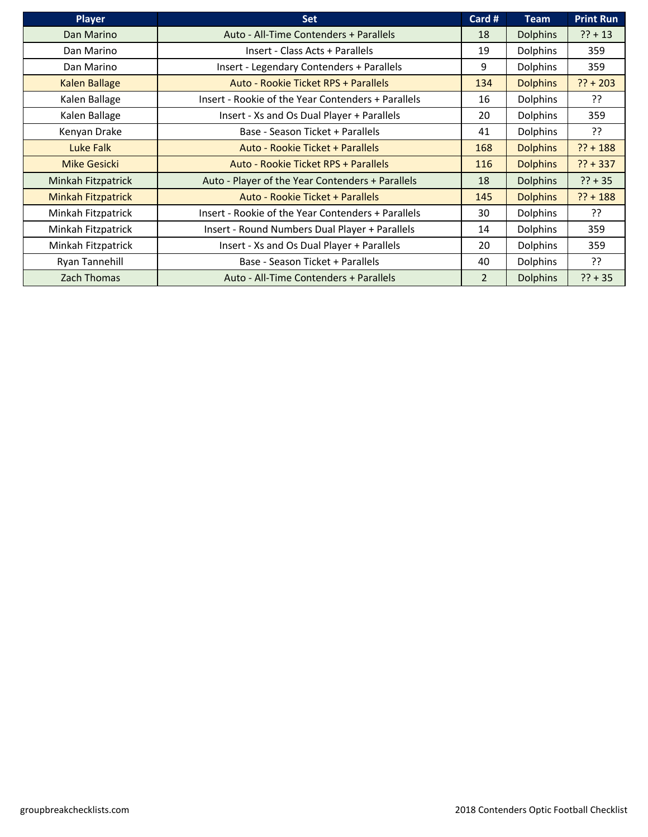| <b>Player</b>             | <b>Set</b>                                         | Card #        | <b>Team</b>     | <b>Print Run</b> |
|---------------------------|----------------------------------------------------|---------------|-----------------|------------------|
| Dan Marino                | Auto - All-Time Contenders + Parallels             | 18            | <b>Dolphins</b> | $?? + 13$        |
| Dan Marino                | Insert - Class Acts + Parallels                    | 19            | <b>Dolphins</b> | 359              |
| Dan Marino                | Insert - Legendary Contenders + Parallels          | 9             | <b>Dolphins</b> | 359              |
| <b>Kalen Ballage</b>      | Auto - Rookie Ticket RPS + Parallels               | 134           | <b>Dolphins</b> | $?? + 203$       |
| Kalen Ballage             | Insert - Rookie of the Year Contenders + Parallels | 16            | <b>Dolphins</b> | יִ?              |
| Kalen Ballage             | Insert - Xs and Os Dual Player + Parallels         | 20            | <b>Dolphins</b> | 359              |
| Kenyan Drake              | Base - Season Ticket + Parallels                   | 41            | <b>Dolphins</b> | ??               |
| <b>Luke Falk</b>          | Auto - Rookie Ticket + Parallels                   | 168           | <b>Dolphins</b> | $?? + 188$       |
| <b>Mike Gesicki</b>       | Auto - Rookie Ticket RPS + Parallels               | 116           | <b>Dolphins</b> | $?? + 337$       |
| Minkah Fitzpatrick        | Auto - Player of the Year Contenders + Parallels   | 18            | <b>Dolphins</b> | $?? + 35$        |
| <b>Minkah Fitzpatrick</b> | Auto - Rookie Ticket + Parallels                   | 145           | <b>Dolphins</b> | $?? + 188$       |
| Minkah Fitzpatrick        | Insert - Rookie of the Year Contenders + Parallels | 30            | <b>Dolphins</b> | ??               |
| Minkah Fitzpatrick        | Insert - Round Numbers Dual Player + Parallels     | 14            | <b>Dolphins</b> | 359              |
| Minkah Fitzpatrick        | Insert - Xs and Os Dual Player + Parallels         | 20            | <b>Dolphins</b> | 359              |
| Ryan Tannehill            | Base - Season Ticket + Parallels                   | 40            | <b>Dolphins</b> | יִ               |
| Zach Thomas               | Auto - All-Time Contenders + Parallels             | $\mathcal{P}$ | <b>Dolphins</b> | $?? + 35$        |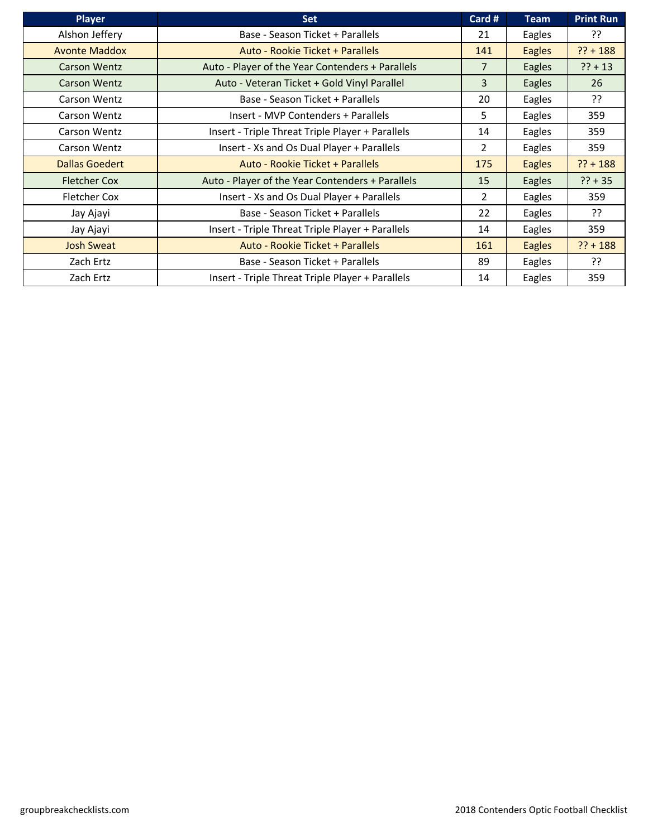| <b>Player</b>        | <b>Set</b>                                       | Card #         | <b>Team</b>   | Print Run  |
|----------------------|--------------------------------------------------|----------------|---------------|------------|
| Alshon Jeffery       | Base - Season Ticket + Parallels                 | 21             | Eagles        | ??         |
| <b>Avonte Maddox</b> | Auto - Rookie Ticket + Parallels                 | 141            | <b>Eagles</b> | $?? + 188$ |
| <b>Carson Wentz</b>  | Auto - Player of the Year Contenders + Parallels | 7              | Eagles        | $?? + 13$  |
| Carson Wentz         | Auto - Veteran Ticket + Gold Vinyl Parallel      | 3              | Eagles        | 26         |
| Carson Wentz         | Base - Season Ticket + Parallels                 | 20             | Eagles        | ??         |
| Carson Wentz         | Insert - MVP Contenders + Parallels              | 5              | Eagles        | 359        |
| Carson Wentz         | Insert - Triple Threat Triple Player + Parallels | 14             | Eagles        | 359        |
| Carson Wentz         | Insert - Xs and Os Dual Player + Parallels       | $\overline{2}$ | Eagles        | 359        |
| Dallas Goedert       | Auto - Rookie Ticket + Parallels                 | 175            | <b>Eagles</b> | $?? + 188$ |
| <b>Fletcher Cox</b>  | Auto - Player of the Year Contenders + Parallels | 15             | Eagles        | $?? + 35$  |
| <b>Fletcher Cox</b>  | Insert - Xs and Os Dual Player + Parallels       | $\overline{2}$ | Eagles        | 359        |
| Jay Ajayi            | Base - Season Ticket + Parallels                 | 22             | Eagles        | ??         |
| Jay Ajayi            | Insert - Triple Threat Triple Player + Parallels | 14             | Eagles        | 359        |
| <b>Josh Sweat</b>    | Auto - Rookie Ticket + Parallels                 | 161            | <b>Eagles</b> | $?? + 188$ |
| Zach Ertz            | Base - Season Ticket + Parallels                 | 89             | Eagles        | יִ         |
| Zach Ertz            | Insert - Triple Threat Triple Player + Parallels | 14             | Eagles        | 359        |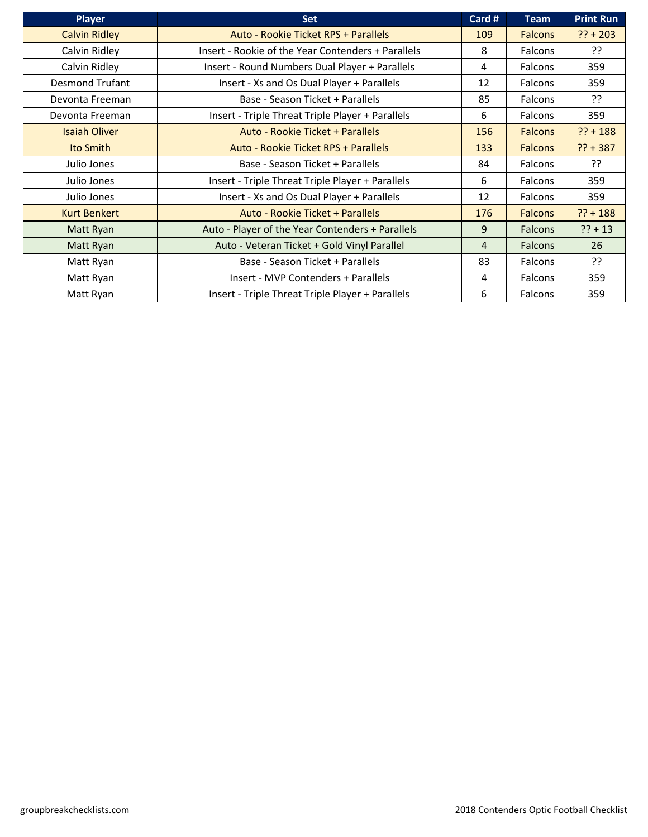| <b>Player</b>          | <b>Set</b>                                         | Card #         | <b>Team</b>    | <b>Print Run</b> |
|------------------------|----------------------------------------------------|----------------|----------------|------------------|
| <b>Calvin Ridley</b>   | Auto - Rookie Ticket RPS + Parallels               | 109            | <b>Falcons</b> | $?? + 203$       |
| Calvin Ridley          | Insert - Rookie of the Year Contenders + Parallels | 8              | <b>Falcons</b> | יִ?              |
| Calvin Ridley          | Insert - Round Numbers Dual Player + Parallels     | 4              | Falcons        | 359              |
| <b>Desmond Trufant</b> | Insert - Xs and Os Dual Player + Parallels         | 12             | Falcons        | 359              |
| Devonta Freeman        | Base - Season Ticket + Parallels                   | 85             | <b>Falcons</b> | ??               |
| Devonta Freeman        | Insert - Triple Threat Triple Player + Parallels   | 6              | Falcons        | 359              |
| <b>Isaiah Oliver</b>   | Auto - Rookie Ticket + Parallels                   | 156            | <b>Falcons</b> | $?? + 188$       |
| Ito Smith              | Auto - Rookie Ticket RPS + Parallels               | 133            | <b>Falcons</b> | $?? + 387$       |
| Julio Jones            | Base - Season Ticket + Parallels                   | 84             | Falcons        | יִ               |
| Julio Jones            | Insert - Triple Threat Triple Player + Parallels   | 6              | Falcons        | 359              |
| Julio Jones            | Insert - Xs and Os Dual Player + Parallels         | 12             | Falcons        | 359              |
| <b>Kurt Benkert</b>    | Auto - Rookie Ticket + Parallels                   | 176            | <b>Falcons</b> | $?? + 188$       |
| Matt Ryan              | Auto - Player of the Year Contenders + Parallels   | 9              | <b>Falcons</b> | $?? + 13$        |
| Matt Ryan              | Auto - Veteran Ticket + Gold Vinyl Parallel        | $\overline{4}$ | Falcons        | 26               |
| Matt Ryan              | Base - Season Ticket + Parallels                   | 83             | <b>Falcons</b> | ??               |
| Matt Ryan              | Insert - MVP Contenders + Parallels                | 4              | <b>Falcons</b> | 359              |
| Matt Ryan              | Insert - Triple Threat Triple Player + Parallels   | 6              | <b>Falcons</b> | 359              |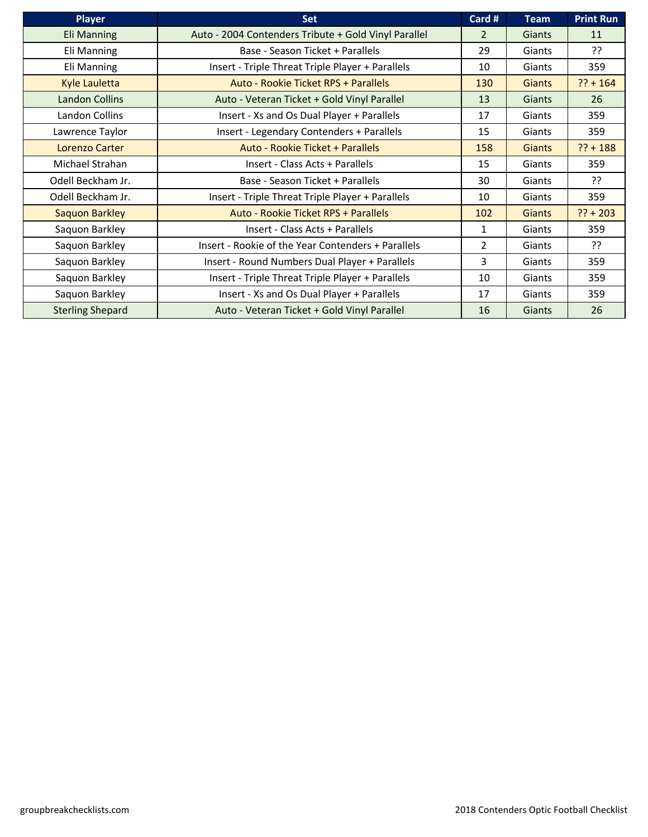| <b>Player</b>           | <b>Set</b>                                           | Card #         | <b>Team</b>   | <b>Print Run</b> |
|-------------------------|------------------------------------------------------|----------------|---------------|------------------|
| <b>Eli Manning</b>      | Auto - 2004 Contenders Tribute + Gold Vinyl Parallel | $\overline{2}$ | <b>Giants</b> | 11               |
| Eli Manning             | Base - Season Ticket + Parallels                     | 29             | Giants        | ??               |
| Eli Manning             | Insert - Triple Threat Triple Player + Parallels     | 10             | Giants        | 359              |
| <b>Kyle Lauletta</b>    | Auto - Rookie Ticket RPS + Parallels                 | 130            | <b>Giants</b> | $?? + 164$       |
| <b>Landon Collins</b>   | Auto - Veteran Ticket + Gold Vinyl Parallel          | 13             | Giants        | 26               |
| Landon Collins          | Insert - Xs and Os Dual Player + Parallels           | 17             | Giants        | 359              |
| Lawrence Taylor         | Insert - Legendary Contenders + Parallels            | 15             | Giants        | 359              |
| Lorenzo Carter          | Auto - Rookie Ticket + Parallels                     | 158            | <b>Giants</b> | $?? + 188$       |
| Michael Strahan         | Insert - Class Acts + Parallels                      | 15             | Giants        | 359              |
| Odell Beckham Jr.       | Base - Season Ticket + Parallels                     | 30             | Giants        | ??               |
| Odell Beckham Jr.       | Insert - Triple Threat Triple Player + Parallels     | 10             | Giants        | 359              |
| Saquon Barkley          | Auto - Rookie Ticket RPS + Parallels                 | 102            | <b>Giants</b> | $?? + 203$       |
| Saquon Barkley          | Insert - Class Acts + Parallels                      | 1              | Giants        | 359              |
| Saquon Barkley          | Insert - Rookie of the Year Contenders + Parallels   | $\overline{2}$ | Giants        | ??               |
| Saquon Barkley          | Insert - Round Numbers Dual Player + Parallels       | 3              | Giants        | 359              |
| Saquon Barkley          | Insert - Triple Threat Triple Player + Parallels     | 10             | Giants        | 359              |
| Saquon Barkley          | Insert - Xs and Os Dual Player + Parallels           | 17             | Giants        | 359              |
| <b>Sterling Shepard</b> | Auto - Veteran Ticket + Gold Vinyl Parallel          | 16             | Giants        | 26               |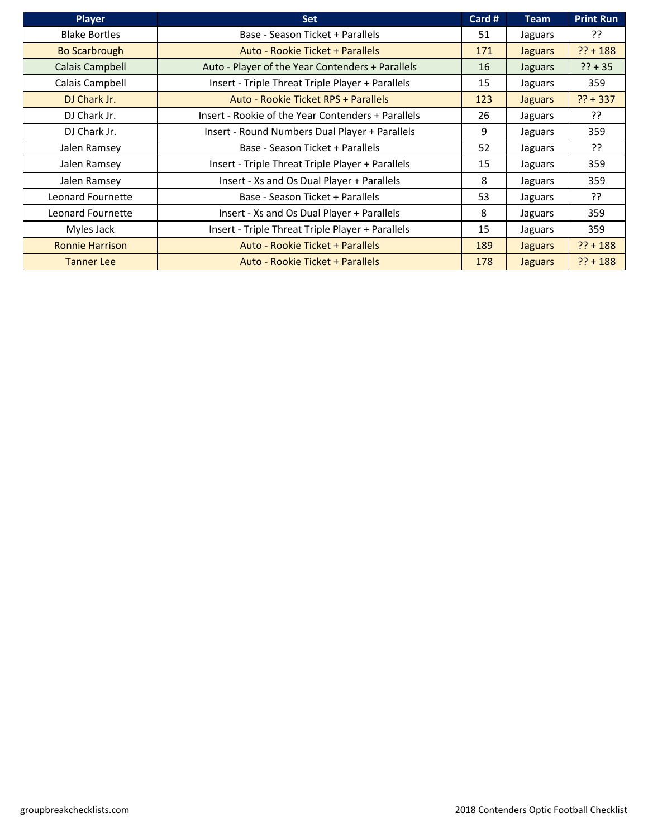| <b>Player</b>            | <b>Set</b>                                         | Card # | <b>Team</b>    | <b>Print Run</b> |
|--------------------------|----------------------------------------------------|--------|----------------|------------------|
| <b>Blake Bortles</b>     | Base - Season Ticket + Parallels                   | 51     | Jaguars        | יִ?              |
| <b>Bo Scarbrough</b>     | Auto - Rookie Ticket + Parallels                   | 171    | <b>Jaguars</b> | $?? + 188$       |
| Calais Campbell          | Auto - Player of the Year Contenders + Parallels   | 16     | Jaguars        | $?? + 35$        |
| Calais Campbell          | Insert - Triple Threat Triple Player + Parallels   | 15     | Jaguars        | 359              |
| DJ Chark Jr.             | Auto - Rookie Ticket RPS + Parallels               | 123    | <b>Jaguars</b> | $?? + 337$       |
| DJ Chark Jr.             | Insert - Rookie of the Year Contenders + Parallels | 26     | Jaguars        | יִ?              |
| DJ Chark Jr.             | Insert - Round Numbers Dual Player + Parallels     | 9      | Jaguars        | 359              |
| Jalen Ramsey             | Base - Season Ticket + Parallels                   | 52     | Jaguars        | יִ?              |
| Jalen Ramsey             | Insert - Triple Threat Triple Player + Parallels   | 15     | Jaguars        | 359              |
| Jalen Ramsey             | Insert - Xs and Os Dual Player + Parallels         | 8      | Jaguars        | 359              |
| <b>Leonard Fournette</b> | Base - Season Ticket + Parallels                   | 53     | Jaguars        | יִ               |
| Leonard Fournette        | Insert - Xs and Os Dual Player + Parallels         | 8      | Jaguars        | 359              |
| Myles Jack               | Insert - Triple Threat Triple Player + Parallels   | 15     | Jaguars        | 359              |
| <b>Ronnie Harrison</b>   | Auto - Rookie Ticket + Parallels                   | 189    | <b>Jaguars</b> | $?? + 188$       |
| <b>Tanner Lee</b>        | Auto - Rookie Ticket + Parallels                   | 178    | <b>Jaguars</b> | $?? + 188$       |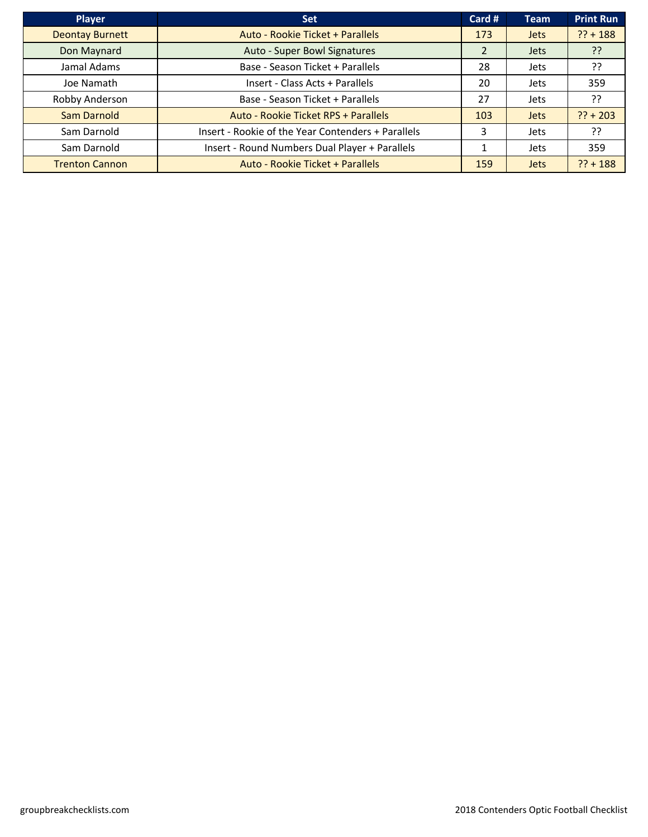| <b>Player</b>          | <b>Set</b>                                         | Card # | <b>Team</b> | <b>Print Run</b> |
|------------------------|----------------------------------------------------|--------|-------------|------------------|
| <b>Deontay Burnett</b> | Auto - Rookie Ticket + Parallels                   | 173    | <b>Jets</b> | $?? + 188$       |
| Don Maynard            | Auto - Super Bowl Signatures                       |        | <b>Jets</b> | ַיְ?             |
| Jamal Adams            | Base - Season Ticket + Parallels                   | 28     | Jets        | ??               |
| Joe Namath             | Insert - Class Acts + Parallels                    | 20     | <b>Jets</b> | 359              |
| Robby Anderson         | Base - Season Ticket + Parallels                   | 27     | Jets        | ??               |
| <b>Sam Darnold</b>     | Auto - Rookie Ticket RPS + Parallels               | 103    | <b>Jets</b> | $?? + 203$       |
| Sam Darnold            | Insert - Rookie of the Year Contenders + Parallels | 3      | <b>Jets</b> | ??               |
| Sam Darnold            | Insert - Round Numbers Dual Player + Parallels     |        | Jets        | 359              |
| <b>Trenton Cannon</b>  | Auto - Rookie Ticket + Parallels                   | 159    | <b>Jets</b> | $?? + 188$       |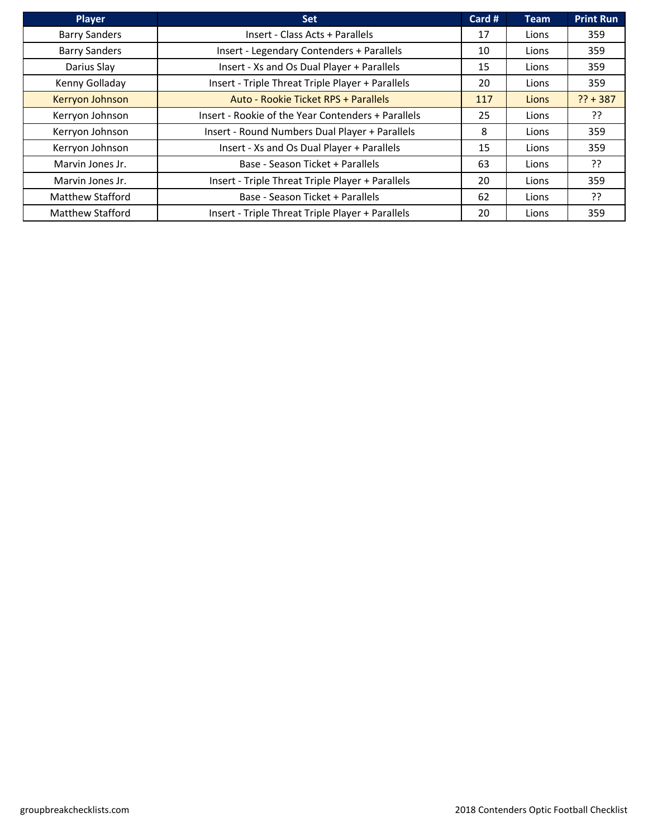| Player                  | <b>Set</b>                                         | Card # | <b>Team</b> | <b>Print Run</b> |
|-------------------------|----------------------------------------------------|--------|-------------|------------------|
| <b>Barry Sanders</b>    | Insert - Class Acts + Parallels                    | 17     | Lions       | 359              |
| <b>Barry Sanders</b>    | Insert - Legendary Contenders + Parallels          | 10     | Lions       | 359              |
| Darius Slay             | Insert - Xs and Os Dual Player + Parallels         | 15     | Lions       | 359              |
| Kenny Golladay          | Insert - Triple Threat Triple Player + Parallels   | 20     | Lions       | 359              |
| Kerryon Johnson         | Auto - Rookie Ticket RPS + Parallels               | 117    | Lions       | $?? + 387$       |
| Kerryon Johnson         | Insert - Rookie of the Year Contenders + Parallels | 25     | Lions       | יִ?              |
| Kerryon Johnson         | Insert - Round Numbers Dual Player + Parallels     | 8      | Lions       | 359              |
| Kerryon Johnson         | Insert - Xs and Os Dual Player + Parallels         | 15     | Lions       | 359              |
| Marvin Jones Jr.        | Base - Season Ticket + Parallels                   | 63     | Lions       | ??               |
| Marvin Jones Jr.        | Insert - Triple Threat Triple Player + Parallels   | 20     | Lions       | 359              |
| <b>Matthew Stafford</b> | Base - Season Ticket + Parallels                   | 62     | Lions       | ??               |
| Matthew Stafford        | Insert - Triple Threat Triple Player + Parallels   | 20     | Lions       | 359              |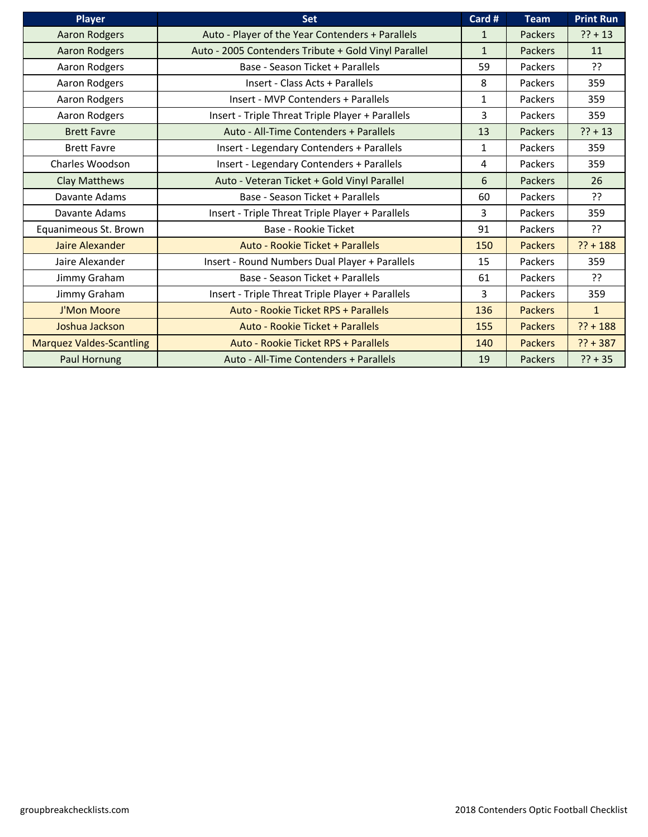| <b>Player</b>                   | <b>Set</b>                                           | Card #       | <b>Team</b>    | <b>Print Run</b> |
|---------------------------------|------------------------------------------------------|--------------|----------------|------------------|
| <b>Aaron Rodgers</b>            | Auto - Player of the Year Contenders + Parallels     | 1            | Packers        | $?? + 13$        |
| <b>Aaron Rodgers</b>            | Auto - 2005 Contenders Tribute + Gold Vinyl Parallel | $\mathbf{1}$ | Packers        | 11               |
| Aaron Rodgers                   | Base - Season Ticket + Parallels                     | 59           | Packers        | 55               |
| Aaron Rodgers                   | Insert - Class Acts + Parallels                      | 8            | Packers        | 359              |
| Aaron Rodgers                   | Insert - MVP Contenders + Parallels                  | $\mathbf{1}$ | Packers        | 359              |
| Aaron Rodgers                   | Insert - Triple Threat Triple Player + Parallels     | 3            | Packers        | 359              |
| <b>Brett Favre</b>              | Auto - All-Time Contenders + Parallels               | 13           | Packers        | $?? + 13$        |
| <b>Brett Favre</b>              | Insert - Legendary Contenders + Parallels            | $\mathbf{1}$ | Packers        | 359              |
| Charles Woodson                 | Insert - Legendary Contenders + Parallels            | 4            | Packers        | 359              |
| <b>Clay Matthews</b>            | Auto - Veteran Ticket + Gold Vinyl Parallel          | 6            | Packers        | 26               |
| Davante Adams                   | Base - Season Ticket + Parallels                     | 60           | Packers        | ??               |
| Davante Adams                   | Insert - Triple Threat Triple Player + Parallels     | 3            | Packers        | 359              |
| Equanimeous St. Brown           | Base - Rookie Ticket                                 | 91           | Packers        | ??               |
| Jaire Alexander                 | Auto - Rookie Ticket + Parallels                     | 150          | <b>Packers</b> | $?? + 188$       |
| Jaire Alexander                 | Insert - Round Numbers Dual Player + Parallels       | 15           | Packers        | 359              |
| Jimmy Graham                    | Base - Season Ticket + Parallels                     | 61           | Packers        | ַרְכ             |
| Jimmy Graham                    | Insert - Triple Threat Triple Player + Parallels     | 3            | Packers        | 359              |
| J'Mon Moore                     | Auto - Rookie Ticket RPS + Parallels                 | 136          | <b>Packers</b> | $\mathbf{1}$     |
| Joshua Jackson                  | Auto - Rookie Ticket + Parallels                     | 155          | <b>Packers</b> | $?? + 188$       |
| <b>Marquez Valdes-Scantling</b> | Auto - Rookie Ticket RPS + Parallels                 | 140          | <b>Packers</b> | $?? + 387$       |
| <b>Paul Hornung</b>             | Auto - All-Time Contenders + Parallels               | 19           | Packers        | $?? + 35$        |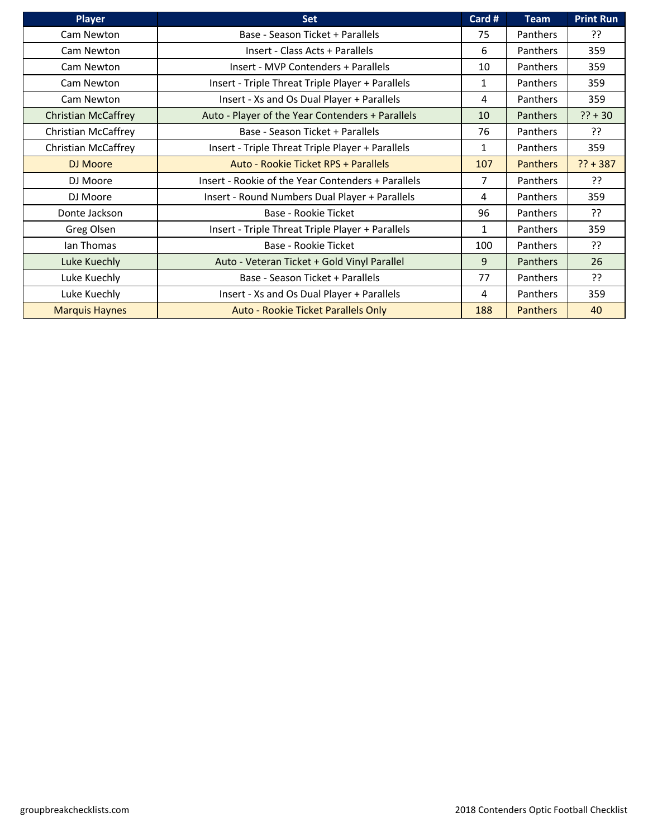| <b>Player</b>              | <b>Set</b>                                         | Card #         | <b>Team</b>     | <b>Print Run</b> |
|----------------------------|----------------------------------------------------|----------------|-----------------|------------------|
| Cam Newton                 | Base - Season Ticket + Parallels                   | 75             | Panthers        | ??               |
| Cam Newton                 | Insert - Class Acts + Parallels                    | 6              | <b>Panthers</b> | 359              |
| Cam Newton                 | Insert - MVP Contenders + Parallels                | 10             | <b>Panthers</b> | 359              |
| Cam Newton                 | Insert - Triple Threat Triple Player + Parallels   | 1              | <b>Panthers</b> | 359              |
| Cam Newton                 | Insert - Xs and Os Dual Player + Parallels         | 4              | <b>Panthers</b> | 359              |
| <b>Christian McCaffrey</b> | Auto - Player of the Year Contenders + Parallels   | 10             | <b>Panthers</b> | $?? + 30$        |
| Christian McCaffrey        | Base - Season Ticket + Parallels                   | 76             | <b>Panthers</b> | ַרְכִ            |
| Christian McCaffrey        | Insert - Triple Threat Triple Player + Parallels   | 1              | <b>Panthers</b> | 359              |
| DJ Moore                   | Auto - Rookie Ticket RPS + Parallels               | 107            | <b>Panthers</b> | $?? + 387$       |
| DJ Moore                   | Insert - Rookie of the Year Contenders + Parallels | $\overline{7}$ | <b>Panthers</b> | ַרְכְ            |
| DJ Moore                   | Insert - Round Numbers Dual Player + Parallels     | 4              | <b>Panthers</b> | 359              |
| Donte Jackson              | Base - Rookie Ticket                               | 96             | <b>Panthers</b> | ??               |
| Greg Olsen                 | Insert - Triple Threat Triple Player + Parallels   | 1              | Panthers        | 359              |
| Ian Thomas                 | Base - Rookie Ticket                               | 100            | <b>Panthers</b> | ??               |
| Luke Kuechly               | Auto - Veteran Ticket + Gold Vinyl Parallel        | 9              | Panthers        | 26               |
| Luke Kuechly               | Base - Season Ticket + Parallels                   | 77             | <b>Panthers</b> | יִ?              |
| Luke Kuechly               | Insert - Xs and Os Dual Player + Parallels         | 4              | <b>Panthers</b> | 359              |
| <b>Marquis Haynes</b>      | Auto - Rookie Ticket Parallels Only                | 188            | <b>Panthers</b> | 40               |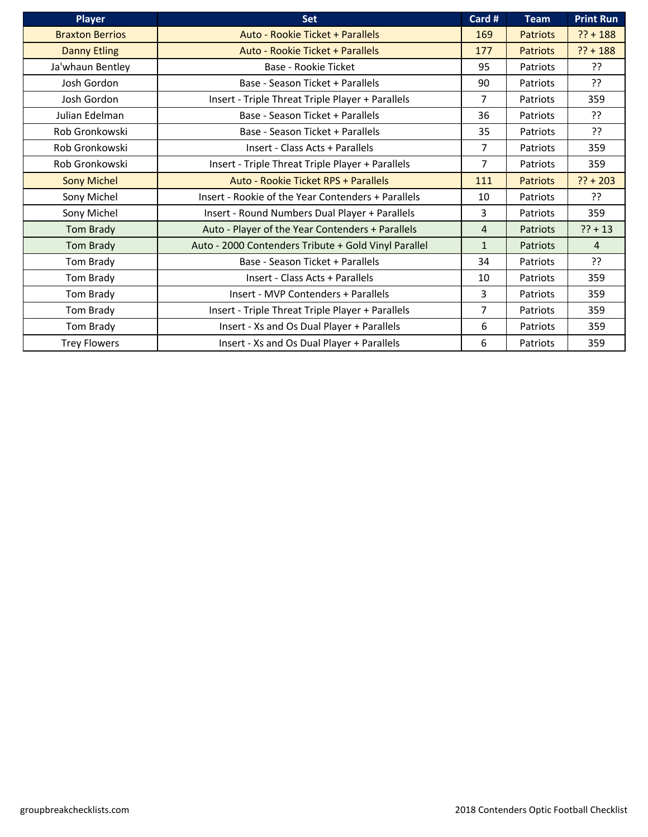| <b>Player</b>          | Set                                                  | Card #         | <b>Team</b>     | <b>Print Run</b> |
|------------------------|------------------------------------------------------|----------------|-----------------|------------------|
| <b>Braxton Berrios</b> | Auto - Rookie Ticket + Parallels                     | 169            | <b>Patriots</b> | $?? + 188$       |
| <b>Danny Etling</b>    | Auto - Rookie Ticket + Parallels                     | 177            | <b>Patriots</b> | $?? + 188$       |
| Ja'whaun Bentley       | Base - Rookie Ticket                                 | 95             | Patriots        | ??               |
| Josh Gordon            | Base - Season Ticket + Parallels                     | 90             | Patriots        | ??               |
| Josh Gordon            | Insert - Triple Threat Triple Player + Parallels     | 7              | Patriots        | 359              |
| Julian Edelman         | Base - Season Ticket + Parallels                     | 36             | Patriots        | ??               |
| Rob Gronkowski         | Base - Season Ticket + Parallels                     | 35             | Patriots        | ??               |
| Rob Gronkowski         | Insert - Class Acts + Parallels                      | $\overline{7}$ | Patriots        | 359              |
| Rob Gronkowski         | Insert - Triple Threat Triple Player + Parallels     | 7              | Patriots        | 359              |
| <b>Sony Michel</b>     | Auto - Rookie Ticket RPS + Parallels                 | 111            | <b>Patriots</b> | $?? + 203$       |
| Sony Michel            | Insert - Rookie of the Year Contenders + Parallels   | 10             | Patriots        | ??               |
| Sony Michel            | Insert - Round Numbers Dual Player + Parallels       | 3              | Patriots        | 359              |
| <b>Tom Brady</b>       | Auto - Player of the Year Contenders + Parallels     | 4              | Patriots        | $?? + 13$        |
| <b>Tom Brady</b>       | Auto - 2000 Contenders Tribute + Gold Vinyl Parallel | $\mathbf{1}$   | Patriots        | 4                |
| Tom Brady              | Base - Season Ticket + Parallels                     | 34             | Patriots        | ??               |
| Tom Brady              | Insert - Class Acts + Parallels                      | 10             | Patriots        | 359              |
| Tom Brady              | Insert - MVP Contenders + Parallels                  | 3              | Patriots        | 359              |
| Tom Brady              | Insert - Triple Threat Triple Player + Parallels     | $\overline{7}$ | Patriots        | 359              |
| Tom Brady              | Insert - Xs and Os Dual Player + Parallels           | 6              | Patriots        | 359              |
| <b>Trey Flowers</b>    | Insert - Xs and Os Dual Player + Parallels           | 6              | Patriots        | 359              |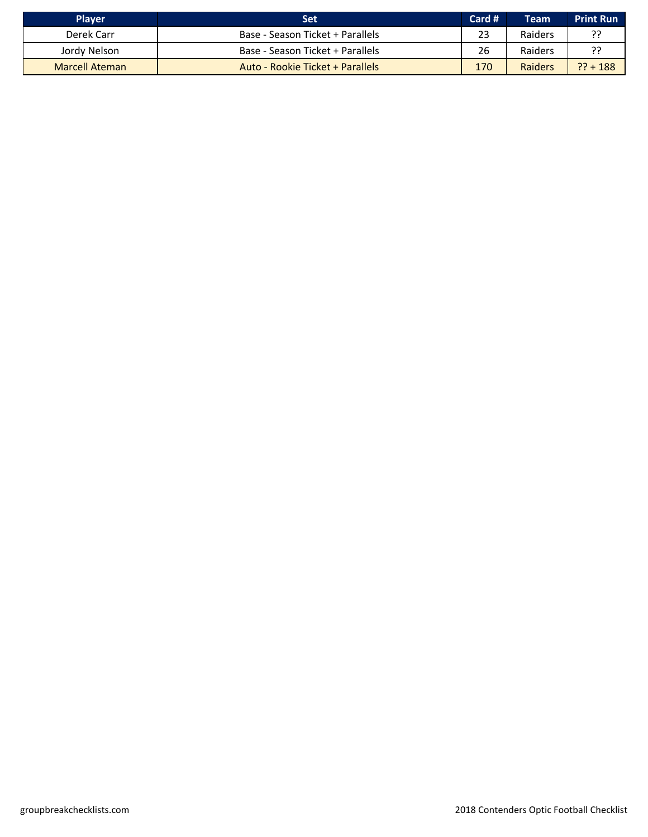| <b>Player</b>         | Set                              | Card # | Team    | <b>Print Run</b> |
|-----------------------|----------------------------------|--------|---------|------------------|
| Derek Carr            | Base - Season Ticket + Parallels | 23     | Raiders |                  |
| Jordy Nelson          | Base - Season Ticket + Parallels | 26     | Raiders |                  |
| <b>Marcell Ateman</b> | Auto - Rookie Ticket + Parallels | 170    | Raiders | $?? + 188$       |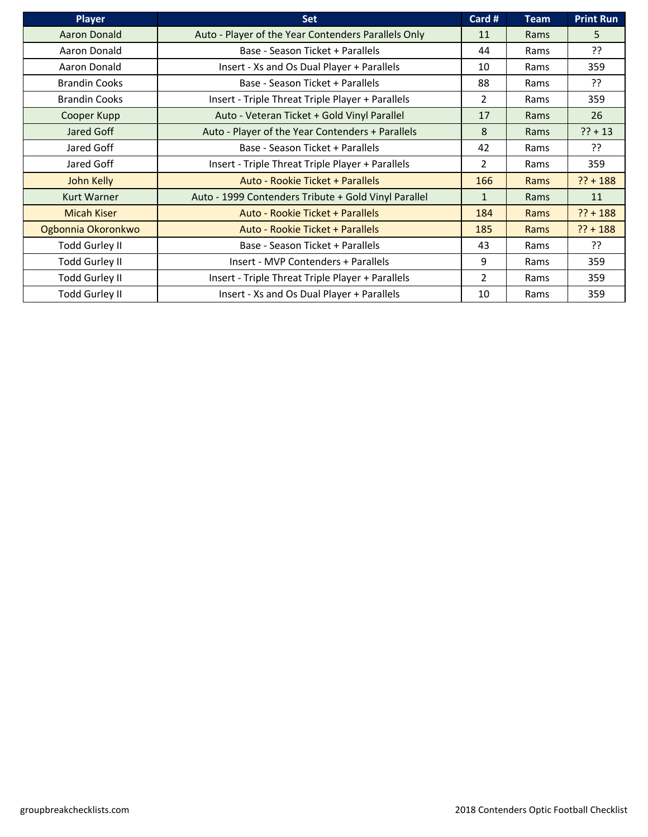| <b>Player</b>         | <b>Set</b>                                           | Card #         | <b>Team</b> | <b>Print Run</b> |
|-----------------------|------------------------------------------------------|----------------|-------------|------------------|
| <b>Aaron Donald</b>   | Auto - Player of the Year Contenders Parallels Only  | 11             | Rams        | 5                |
| Aaron Donald          | Base - Season Ticket + Parallels                     | 44             | Rams        | ??               |
| Aaron Donald          | Insert - Xs and Os Dual Player + Parallels           | 10             | Rams        | 359              |
| <b>Brandin Cooks</b>  | Base - Season Ticket + Parallels                     | 88             | Rams        | יִ               |
| <b>Brandin Cooks</b>  | Insert - Triple Threat Triple Player + Parallels     | $\overline{2}$ | Rams        | 359              |
| Cooper Kupp           | Auto - Veteran Ticket + Gold Vinyl Parallel          | 17             | Rams        | 26               |
| Jared Goff            | Auto - Player of the Year Contenders + Parallels     | 8              | Rams        | $?? + 13$        |
| Jared Goff            | Base - Season Ticket + Parallels                     | 42             | Rams        | ַיְ?             |
| Jared Goff            | Insert - Triple Threat Triple Player + Parallels     | $\overline{2}$ | Rams        | 359              |
| John Kelly            | Auto - Rookie Ticket + Parallels                     | 166            | Rams        | $?? + 188$       |
| <b>Kurt Warner</b>    | Auto - 1999 Contenders Tribute + Gold Vinyl Parallel | $\mathbf{1}$   | Rams        | 11               |
| <b>Micah Kiser</b>    | Auto - Rookie Ticket + Parallels                     | 184            | Rams        | $?? + 188$       |
| Ogbonnia Okoronkwo    | Auto - Rookie Ticket + Parallels                     | 185            | Rams        | $?? + 188$       |
| <b>Todd Gurley II</b> | Base - Season Ticket + Parallels                     | 43             | Rams        | ??               |
| <b>Todd Gurley II</b> | Insert - MVP Contenders + Parallels                  | 9              | Rams        | 359              |
| <b>Todd Gurley II</b> | Insert - Triple Threat Triple Player + Parallels     | 2              | Rams        | 359              |
| <b>Todd Gurley II</b> | Insert - Xs and Os Dual Player + Parallels           | 10             | Rams        | 359              |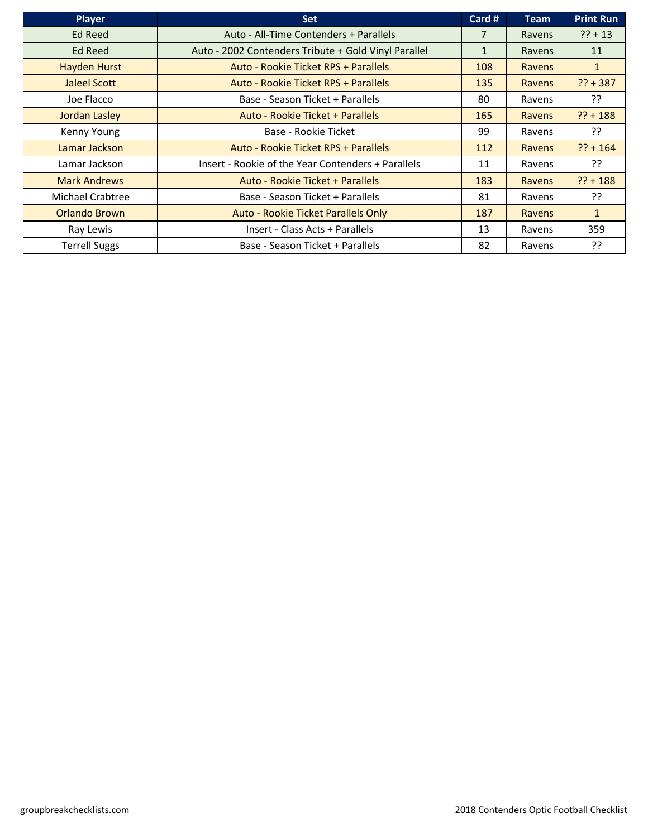| Player               | <b>Set</b>                                           | Card #       | <b>Team</b> | <b>Print Run</b> |
|----------------------|------------------------------------------------------|--------------|-------------|------------------|
| <b>Ed Reed</b>       | Auto - All-Time Contenders + Parallels               | 7            | Ravens      | $?? + 13$        |
| Ed Reed              | Auto - 2002 Contenders Tribute + Gold Vinyl Parallel | $\mathbf{1}$ | Ravens      | 11               |
| <b>Hayden Hurst</b>  | Auto - Rookie Ticket RPS + Parallels                 | 108          | Ravens      | $\mathbf{1}$     |
| Jaleel Scott         | Auto - Rookie Ticket RPS + Parallels                 | 135          | Ravens      | $?? + 387$       |
| Joe Flacco           | Base - Season Ticket + Parallels                     | 80           | Ravens      | ??               |
| <b>Jordan Lasley</b> | Auto - Rookie Ticket + Parallels                     | 165          | Ravens      | $?? + 188$       |
| Kenny Young          | Base - Rookie Ticket                                 | 99           | Ravens      | ַיִּ             |
| Lamar Jackson        | Auto - Rookie Ticket RPS + Parallels                 | 112          | Ravens      | $?? + 164$       |
| Lamar Jackson        | Insert - Rookie of the Year Contenders + Parallels   | 11           | Ravens      | ַיִּ             |
| <b>Mark Andrews</b>  | Auto - Rookie Ticket + Parallels                     | 183          | Ravens      | $?? + 188$       |
| Michael Crabtree     | Base - Season Ticket + Parallels                     | 81           | Ravens      | ??               |
| <b>Orlando Brown</b> | Auto - Rookie Ticket Parallels Only                  | 187          | Ravens      | $\mathbf{1}$     |
| Ray Lewis            | Insert - Class Acts + Parallels                      | 13           | Ravens      | 359              |
| <b>Terrell Suggs</b> | Base - Season Ticket + Parallels                     | 82           | Ravens      | יִ?              |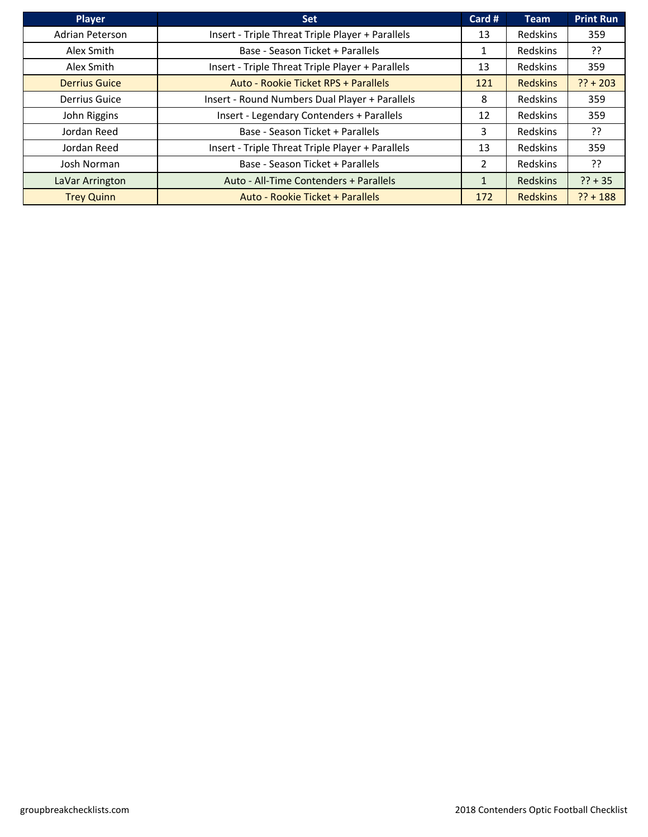| <b>Player</b>        | <b>Set</b>                                       | Card # | <b>Team</b>     | <b>Print Run</b> |
|----------------------|--------------------------------------------------|--------|-----------------|------------------|
| Adrian Peterson      | Insert - Triple Threat Triple Player + Parallels | 13     | <b>Redskins</b> | 359              |
| Alex Smith           | Base - Season Ticket + Parallels                 |        | Redskins        | ??               |
| Alex Smith           | Insert - Triple Threat Triple Player + Parallels | 13     | Redskins        | 359              |
| <b>Derrius Guice</b> | Auto - Rookie Ticket RPS + Parallels             | 121    | <b>Redskins</b> | $?? + 203$       |
| <b>Derrius Guice</b> | Insert - Round Numbers Dual Player + Parallels   | 8      | <b>Redskins</b> | 359              |
| John Riggins         | Insert - Legendary Contenders + Parallels        | 12     | Redskins        | 359              |
| Jordan Reed          | Base - Season Ticket + Parallels                 | 3      | Redskins        | ??               |
| Jordan Reed          | Insert - Triple Threat Triple Player + Parallels | 13     | Redskins        | 359              |
| Josh Norman          | Base - Season Ticket + Parallels                 | 2      | <b>Redskins</b> | ַיְ?             |
| LaVar Arrington      | Auto - All-Time Contenders + Parallels           |        | <b>Redskins</b> | $?? + 35$        |
| <b>Trey Quinn</b>    | Auto - Rookie Ticket + Parallels                 | 172    | <b>Redskins</b> | $?? + 188$       |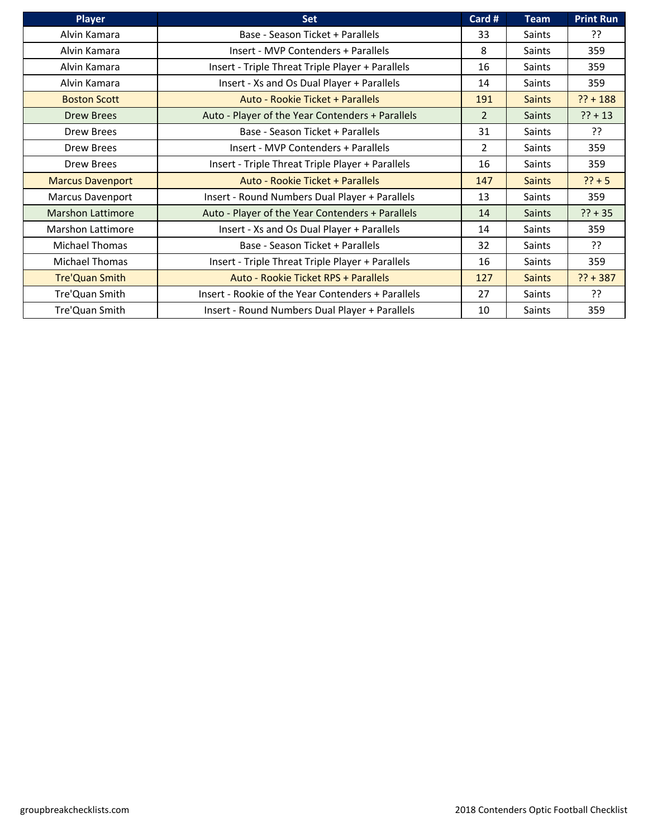| <b>Player</b>            | <b>Set</b>                                         | Card #         | <b>Team</b>   | <b>Print Run</b> |
|--------------------------|----------------------------------------------------|----------------|---------------|------------------|
| Alvin Kamara             | Base - Season Ticket + Parallels                   | 33             | Saints        | ??               |
| Alvin Kamara             | Insert - MVP Contenders + Parallels                | 8              | <b>Saints</b> | 359              |
| Alvin Kamara             | Insert - Triple Threat Triple Player + Parallels   | 16             | Saints        | 359              |
| Alvin Kamara             | Insert - Xs and Os Dual Player + Parallels         | 14             | <b>Saints</b> | 359              |
| <b>Boston Scott</b>      | Auto - Rookie Ticket + Parallels                   | 191            | <b>Saints</b> | $?? + 188$       |
| <b>Drew Brees</b>        | Auto - Player of the Year Contenders + Parallels   | $\overline{2}$ | Saints        | $?? + 13$        |
| Drew Brees               | Base - Season Ticket + Parallels                   | 31             | Saints        | ??               |
| Drew Brees               | Insert - MVP Contenders + Parallels                | $\overline{2}$ | Saints        | 359              |
| Drew Brees               | Insert - Triple Threat Triple Player + Parallels   | 16             | Saints        | 359              |
| <b>Marcus Davenport</b>  | Auto - Rookie Ticket + Parallels                   | 147            | <b>Saints</b> | $?? + 5$         |
| <b>Marcus Davenport</b>  | Insert - Round Numbers Dual Player + Parallels     | 13             | Saints        | 359              |
| <b>Marshon Lattimore</b> | Auto - Player of the Year Contenders + Parallels   | 14             | <b>Saints</b> | $?? + 35$        |
| <b>Marshon Lattimore</b> | Insert - Xs and Os Dual Player + Parallels         | 14             | <b>Saints</b> | 359              |
| <b>Michael Thomas</b>    | Base - Season Ticket + Parallels                   | 32             | Saints        | ??               |
| Michael Thomas           | Insert - Triple Threat Triple Player + Parallels   | 16             | Saints        | 359              |
| <b>Tre'Quan Smith</b>    | Auto - Rookie Ticket RPS + Parallels               | 127            | <b>Saints</b> | $?? + 387$       |
| Tre'Quan Smith           | Insert - Rookie of the Year Contenders + Parallels | 27             | <b>Saints</b> | ??               |
| Tre'Quan Smith           | Insert - Round Numbers Dual Player + Parallels     | 10             | Saints        | 359              |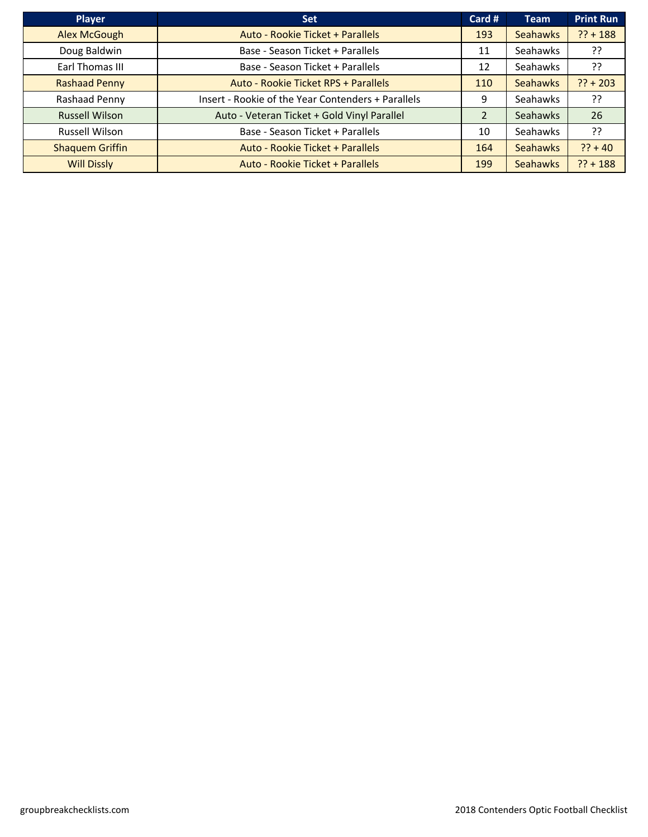| <b>Player</b>          | <b>Set</b>                                         | Card # | <b>Team</b>     | <b>Print Run</b> |
|------------------------|----------------------------------------------------|--------|-----------------|------------------|
| <b>Alex McGough</b>    | Auto - Rookie Ticket + Parallels                   | 193    | <b>Seahawks</b> | $?? + 188$       |
| Doug Baldwin           | Base - Season Ticket + Parallels                   | 11     | Seahawks        | יִ?              |
| Earl Thomas III        | Base - Season Ticket + Parallels                   | 12     | Seahawks        | ??               |
| <b>Rashaad Penny</b>   | Auto - Rookie Ticket RPS + Parallels               | 110    | <b>Seahawks</b> | $?? + 203$       |
| Rashaad Penny          | Insert - Rookie of the Year Contenders + Parallels | 9      | Seahawks        | יִ?              |
| <b>Russell Wilson</b>  | Auto - Veteran Ticket + Gold Vinyl Parallel        |        | Seahawks        | 26               |
| <b>Russell Wilson</b>  | Base - Season Ticket + Parallels                   | 10     | Seahawks        | יִ?              |
| <b>Shaquem Griffin</b> | Auto - Rookie Ticket + Parallels                   | 164    | <b>Seahawks</b> | $?? + 40$        |
| <b>Will Dissly</b>     | Auto - Rookie Ticket + Parallels                   | 199    | <b>Seahawks</b> | $?? + 188$       |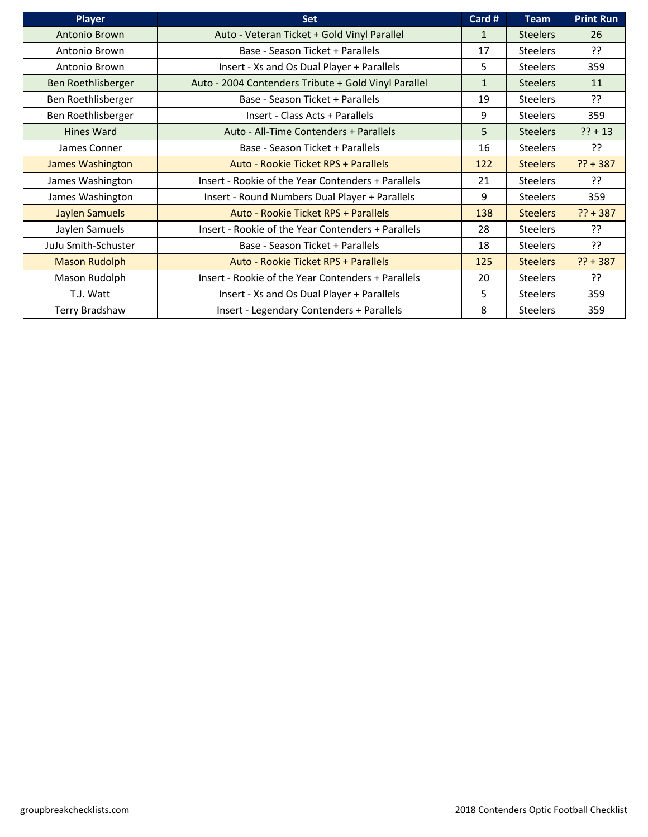| <b>Player</b>         | <b>Set</b>                                           | Card #       | <b>Team</b>     | <b>Print Run</b> |
|-----------------------|------------------------------------------------------|--------------|-----------------|------------------|
| Antonio Brown         | Auto - Veteran Ticket + Gold Vinyl Parallel          | $\mathbf{1}$ | <b>Steelers</b> | 26               |
| Antonio Brown         | Base - Season Ticket + Parallels                     | 17           | <b>Steelers</b> | ??               |
| Antonio Brown         | Insert - Xs and Os Dual Player + Parallels           | 5            | <b>Steelers</b> | 359              |
| Ben Roethlisberger    | Auto - 2004 Contenders Tribute + Gold Vinyl Parallel | $\mathbf{1}$ | <b>Steelers</b> | 11               |
| Ben Roethlisberger    | Base - Season Ticket + Parallels                     | 19           | <b>Steelers</b> | ??               |
| Ben Roethlisberger    | Insert - Class Acts + Parallels                      | 9            | <b>Steelers</b> | 359              |
| <b>Hines Ward</b>     | Auto - All-Time Contenders + Parallels               | 5            | <b>Steelers</b> | $?? + 13$        |
| James Conner          | Base - Season Ticket + Parallels                     | 16           | <b>Steelers</b> | יִ?              |
| James Washington      | Auto - Rookie Ticket RPS + Parallels                 | 122          | <b>Steelers</b> | $?? + 387$       |
| James Washington      | Insert - Rookie of the Year Contenders + Parallels   | 21           | <b>Steelers</b> | ??               |
| James Washington      | Insert - Round Numbers Dual Player + Parallels       | 9            | <b>Steelers</b> | 359              |
| <b>Jaylen Samuels</b> | Auto - Rookie Ticket RPS + Parallels                 | 138          | <b>Steelers</b> | $?? + 387$       |
| Jaylen Samuels        | Insert - Rookie of the Year Contenders + Parallels   | 28           | <b>Steelers</b> | ??               |
| JuJu Smith-Schuster   | Base - Season Ticket + Parallels                     | 18           | <b>Steelers</b> | ??               |
| <b>Mason Rudolph</b>  | Auto - Rookie Ticket RPS + Parallels                 | 125          | <b>Steelers</b> | $?? + 387$       |
| Mason Rudolph         | Insert - Rookie of the Year Contenders + Parallels   | 20           | <b>Steelers</b> | ??               |
| T.J. Watt             | Insert - Xs and Os Dual Player + Parallels           | 5            | <b>Steelers</b> | 359              |
| Terry Bradshaw        | Insert - Legendary Contenders + Parallels            | 8            | <b>Steelers</b> | 359              |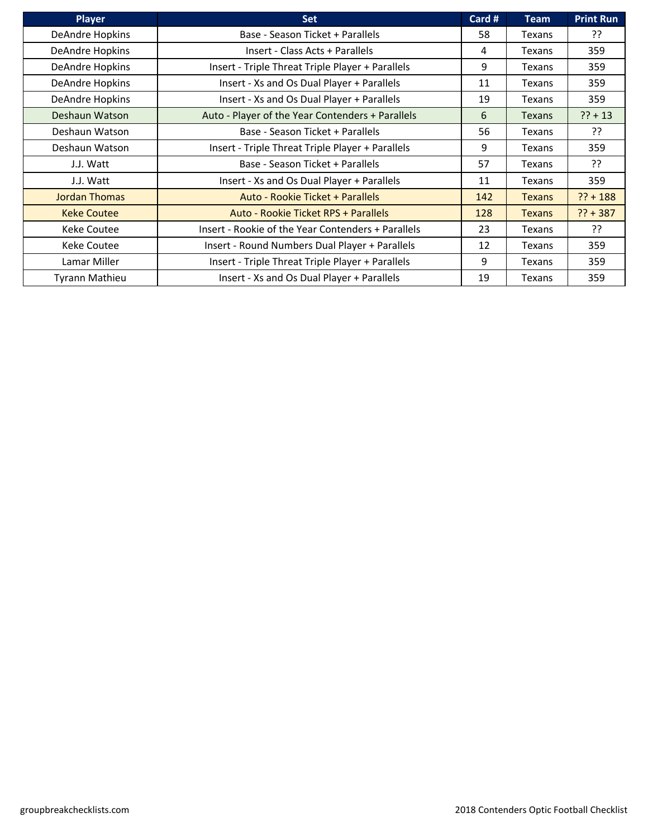| <b>Player</b>        | <b>Set</b>                                         | Card # | <b>Team</b>   | <b>Print Run</b> |
|----------------------|----------------------------------------------------|--------|---------------|------------------|
| DeAndre Hopkins      | Base - Season Ticket + Parallels                   | 58     | Texans        | ַיְ?             |
| DeAndre Hopkins      | Insert - Class Acts + Parallels                    | 4      | Texans        | 359              |
| DeAndre Hopkins      | Insert - Triple Threat Triple Player + Parallels   | 9      | Texans        | 359              |
| DeAndre Hopkins      | Insert - Xs and Os Dual Player + Parallels         | 11     | Texans        | 359              |
| DeAndre Hopkins      | Insert - Xs and Os Dual Player + Parallels         | 19     | Texans        | 359              |
| Deshaun Watson       | Auto - Player of the Year Contenders + Parallels   | 6      | <b>Texans</b> | $?? + 13$        |
| Deshaun Watson       | Base - Season Ticket + Parallels                   | 56     | Texans        | ??               |
| Deshaun Watson       | Insert - Triple Threat Triple Player + Parallels   | 9      | Texans        | 359              |
| J.J. Watt            | Base - Season Ticket + Parallels                   | 57     | Texans        | יִ               |
| J.J. Watt            | Insert - Xs and Os Dual Player + Parallels         | 11     | Texans        | 359              |
| <b>Jordan Thomas</b> | Auto - Rookie Ticket + Parallels                   | 142    | <b>Texans</b> | $?? + 188$       |
| <b>Keke Coutee</b>   | Auto - Rookie Ticket RPS + Parallels               | 128    | <b>Texans</b> | $?? + 387$       |
| <b>Keke Coutee</b>   | Insert - Rookie of the Year Contenders + Parallels | 23     | Texans        | יִ?              |
| Keke Coutee          | Insert - Round Numbers Dual Player + Parallels     | 12     | Texans        | 359              |
| Lamar Miller         | Insert - Triple Threat Triple Player + Parallels   | 9      | Texans        | 359              |
| Tyrann Mathieu       | Insert - Xs and Os Dual Player + Parallels         | 19     | Texans        | 359              |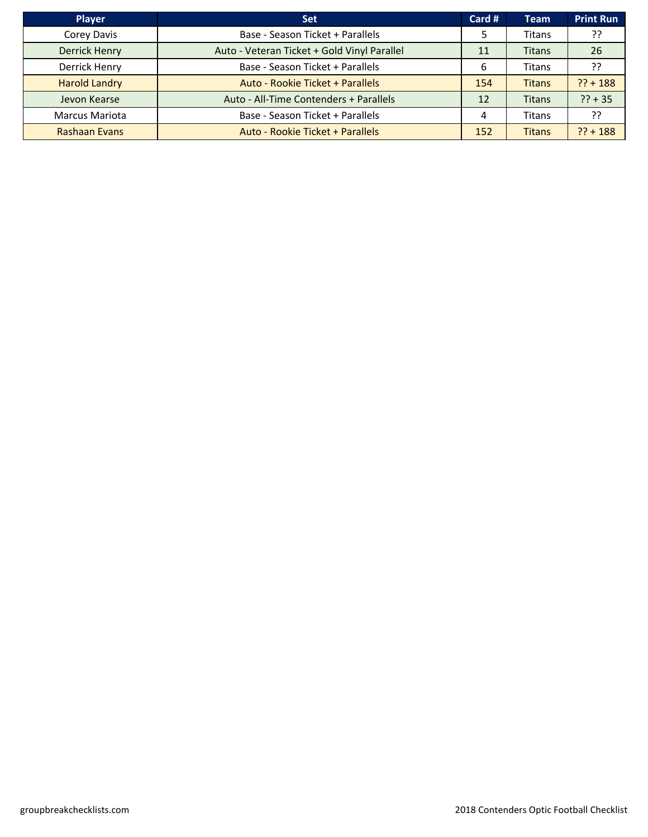| <b>Player</b>         | <b>Set</b>                                  | Card #        | <b>Team</b>   | <b>Print Run</b> |
|-----------------------|---------------------------------------------|---------------|---------------|------------------|
| Corey Davis           | Base - Season Ticket + Parallels            | $\mathcal{D}$ | Titans        | ??               |
| <b>Derrick Henry</b>  | Auto - Veteran Ticket + Gold Vinyl Parallel | 11            | <b>Titans</b> | 26               |
| Derrick Henry         | Base - Season Ticket + Parallels            | 6             | Titans        | ??               |
| <b>Harold Landry</b>  | Auto - Rookie Ticket + Parallels            | 154           | <b>Titans</b> | $?? + 188$       |
| Jevon Kearse          | Auto - All-Time Contenders + Parallels      | 12            | <b>Titans</b> | $?? + 35$        |
| <b>Marcus Mariota</b> | Base - Season Ticket + Parallels            | 4             | Titans        | ??               |
| <b>Rashaan Evans</b>  | Auto - Rookie Ticket + Parallels            | 152           | <b>Titans</b> | $?? + 188$       |